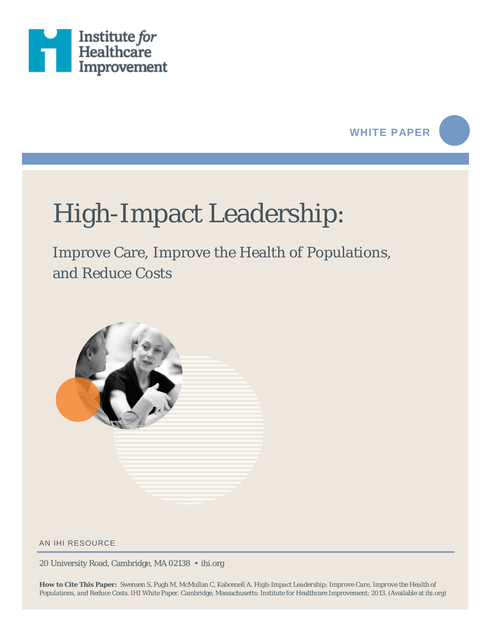

## **WHITE PAPER**

# High-Impact Leadership:

Improve Care, Improve the Health of Populations, and Reduce Costs



AN IHI RESOURCE

20 University Road, Cambridge, MA 02138 • ihi.org

**How to Cite This Paper:** Swensen S, Pugh M, McMullan C, Kabcenell A. *High-Impact Leadership: Improve Care, Improve the Health of Populations, and Reduce Costs*. IHI White Paper. Cambridge, Massachusetts: Institute for Healthcare Improvement; 2013. (Available at ihi.org)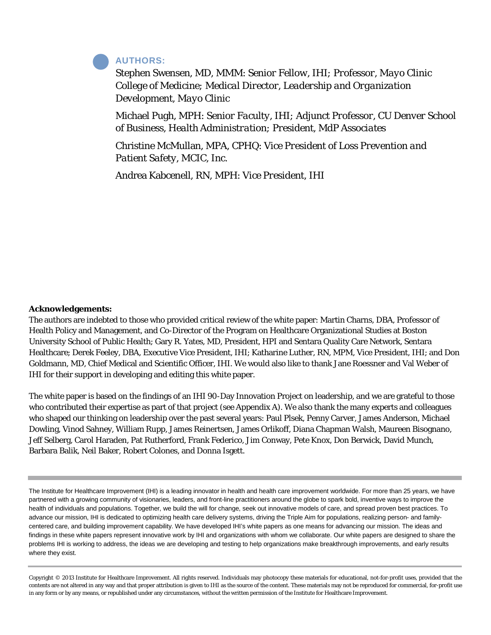#### **AUTHORS:**

Stephen Swensen, MD, MMM: *Senior Fellow, IHI; Professor, Mayo Clinic College of Medicine; Medical Director, Leadership and Organization Development, Mayo Clinic*

Michael Pugh, MPH: *Senior Faculty, IHI; Adjunct Professor, CU Denver School of Business, Health Administration; President, MdP Associates*

Christine McMullan, MPA, CPHQ: *Vice President of Loss Prevention and Patient Safety, MCIC, Inc.*

Andrea Kabcenell, RN, MPH: *Vice President, IHI*

#### **Acknowledgements:**

The authors are indebted to those who provided critical review of the white paper: Martin Charns, DBA, Professor of Health Policy and Management, and Co-Director of the Program on Healthcare Organizational Studies at Boston University School of Public Health; Gary R. Yates, MD, President, HPI and Sentara Quality Care Network, Sentara Healthcare; Derek Feeley, DBA, Executive Vice President, IHI; Katharine Luther, RN, MPM, Vice President, IHI; and Don Goldmann, MD, Chief Medical and Scientific Officer, IHI. We would also like to thank Jane Roessner and Val Weber of IHI for their support in developing and editing this white paper.

The white paper is based on the findings of an IHI 90-Day Innovation Project on leadership, and we are grateful to those who contributed their expertise as part of that project (see Appendix A). We also thank the many experts and colleagues who shaped our thinking on leadership over the past several years: Paul Plsek, Penny Carver, James Anderson, Michael Dowling, Vinod Sahney, William Rupp, James Reinertsen, James Orlikoff, Diana Chapman Walsh, Maureen Bisognano, Jeff Selberg, Carol Haraden, Pat Rutherford, Frank Federico, Jim Conway, Pete Knox, Don Berwick, David Munch, Barbara Balik, Neil Baker, Robert Colones, and Donna Isgett.

The Institute for Healthcare Improvement (IHI) is a leading innovator in health and health care improvement worldwide. For more than 25 years, we have partnered with a growing community of visionaries, leaders, and front-line practitioners around the globe to spark bold, inventive ways to improve the health of individuals and populations. Together, we build the will for change, seek out innovative models of care, and spread proven best practices. To advance our mission, IHI is dedicated to optimizing health care delivery systems, driving the Triple Aim for populations, realizing person- and familycentered care, and building improvement capability. We have developed IHI's white papers as one means for advancing our mission. The ideas and findings in these white papers represent innovative work by IHI and organizations with whom we collaborate. Our white papers are designed to share the problems IHI is working to address, the ideas we are developing and testing to help organizations make breakthrough improvements, and early results where they exist.

Copyright © 2013 Institute for Healthcare Improvement. All rights reserved. Individuals may photocopy these materials for educational, not-for-profit uses, provided that the contents are not altered in any way and that proper attribution is given to IHI as the source of the content. These materials may not be reproduced for commercial, for-profit use in any form or by any means, or republished under any circumstances, without the written permission of the Institute for Healthcare Improvement.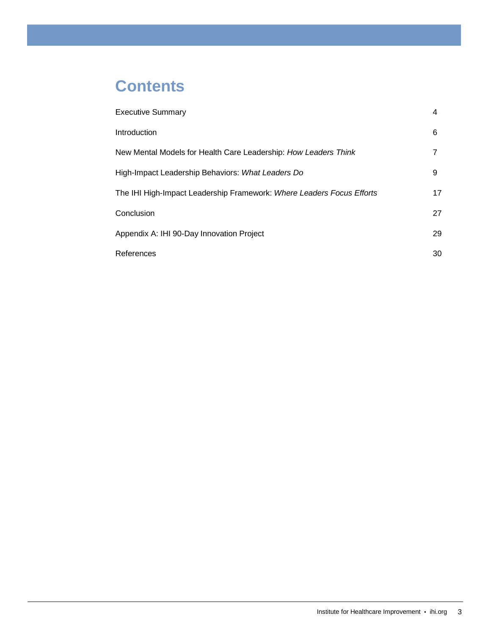## **Contents**

| <b>Executive Summary</b>                                              | 4  |
|-----------------------------------------------------------------------|----|
| Introduction                                                          | 6  |
| New Mental Models for Health Care Leadership: How Leaders Think       |    |
| High-Impact Leadership Behaviors: What Leaders Do                     | 9  |
| The IHI High-Impact Leadership Framework: Where Leaders Focus Efforts | 17 |
| Conclusion                                                            | 27 |
| Appendix A: IHI 90-Day Innovation Project                             | 29 |
| References                                                            | 30 |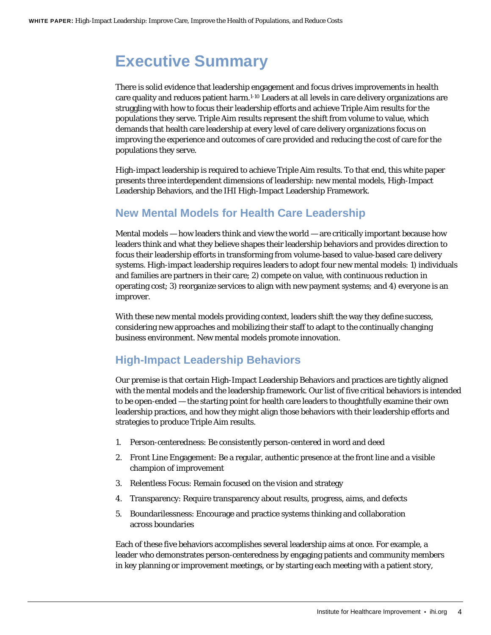## <span id="page-3-0"></span>**Executive Summary**

There is solid evidence that leadership engagement and focus drives improvements in health care quality and reduces patient harm[.1-10](#page-29-1) Leaders at all levels in care delivery organizations are struggling with how to focus their leadership efforts and achieve Triple Aim results for the populations they serve. Triple Aim results represent the shift from volume to value, which demands that health care leadership at every level of care delivery organizations focus on improving the experience and outcomes of care provided and reducing the cost of care for the populations they serve.

High-impact leadership is required to achieve Triple Aim results. To that end, this white paper presents three interdependent dimensions of leadership: new mental models, High-Impact Leadership Behaviors, and the IHI High-Impact Leadership Framework.

### **New Mental Models for Health Care Leadership**

Mental models — how leaders think and view the world — are critically important because how leaders think and what they believe shapes their leadership behaviors and provides direction to focus their leadership efforts in transforming from volume-based to value-based care delivery systems. High-impact leadership requires leaders to adopt four new mental models: 1) individuals and families are partners in their care; 2) compete on value, with continuous reduction in operating cost; 3) reorganize services to align with new payment systems; and 4) everyone is an improver.

With these new mental models providing context, leaders shift the way they define success, considering new approaches and mobilizing their staff to adapt to the continually changing business environment. New mental models promote innovation.

## **High-Impact Leadership Behaviors**

Our premise is that certain High-Impact Leadership Behaviors and practices are tightly aligned with the mental models and the leadership framework. Our list of five critical behaviors is intended to be open-ended — the starting point for health care leaders to thoughtfully examine their own leadership practices, and how they might align those behaviors with their leadership efforts and strategies to produce Triple Aim results.

- 1. Person-centeredness: Be consistently person-centered in word and deed
- 2. Front Line Engagement: Be a regular, authentic presence at the front line and a visible champion of improvement
- 3. Relentless Focus: Remain focused on the vision and strategy
- 4. Transparency: Require transparency about results, progress, aims, and defects
- 5. Boundarilessness: Encourage and practice systems thinking and collaboration across boundaries

Each of these five behaviors accomplishes several leadership aims at once. For example, a leader who demonstrates person-centeredness by engaging patients and community members in key planning or improvement meetings, or by starting each meeting with a patient story,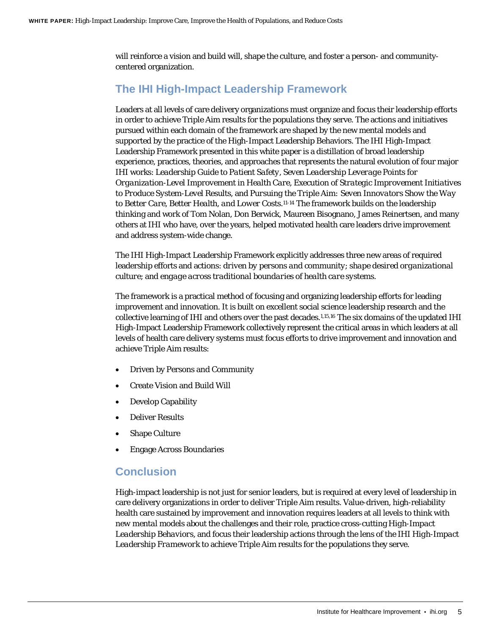will reinforce a vision and build will, shape the culture, and foster a person- and communitycentered organization.

## **The IHI High-Impact Leadership Framework**

Leaders at all levels of care delivery organizations must organize and focus their leadership efforts in order to achieve Triple Aim results for the populations they serve. The actions and initiatives pursued within each domain of the framework are shaped by the new mental models and supported by the practice of the High-Impact Leadership Behaviors. The IHI High-Impact Leadership Framework presented in this white paper is a distillation of broad leadership experience, practices, theories, and approaches that represents the natural evolution of four major IHI works: *Leadership Guide to Patient Safety*, *Seven Leadership Leverage Points for Organization-Level Improvement in Health Care*, *Execution of Strategic Improvement Initiatives to Produce System-Level Results*, and *Pursuing the Triple Aim: Seven Innovators Show the Way to Better Care, Better Health, and Lower Costs*[.11-14](#page-29-2) The framework builds on the leadership thinking and work of Tom Nolan, Don Berwick, Maureen Bisognano, James Reinertsen, and many others at IHI who have, over the years, helped motivated health care leaders drive improvement and address system-wide change.

The IHI High-Impact Leadership Framework explicitly addresses three new areas of required leadership efforts and actions: *driven by persons and community*; *shape desired organizational culture*; and *engage across traditional boundaries of health care systems*.

The framework is a practical method of focusing and organizing leadership efforts for leading improvement and innovation. It is built on excellent social science leadership research and the collective learning of IHI and others over the past decades[.1,](#page-29-1)[15,](#page-30-0)[16](#page-30-1) The six domains of the updated IHI High-Impact Leadership Framework collectively represent the critical areas in which leaders at all levels of health care delivery systems must focus efforts to drive improvement and innovation and achieve Triple Aim results:

- Driven by Persons and Community
- Create Vision and Build Will
- Develop Capability
- Deliver Results
- **Shape Culture**
- Engage Across Boundaries

#### **Conclusion**

High-impact leadership is not just for senior leaders, but is required at every level of leadership in care delivery organizations in order to deliver Triple Aim results. Value-driven, high-reliability health care sustained by improvement and innovation requires leaders at all levels to think with *new mental models* about the challenges and their role, practice cross-cutting *High-Impact Leadership Behaviors*, and focus their leadership actions through the lens of the *IHI High-Impact Leadership Framework* to achieve Triple Aim results for the populations they serve.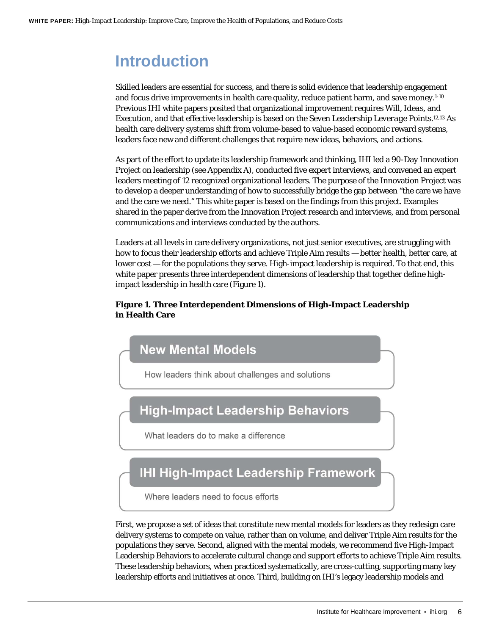## <span id="page-5-0"></span>**Introduction**

Skilled leaders are essential for success, and there is solid evidence that leadership engagement and focus drive improvements in health care quality, reduce patient harm, and save money[.1-10](#page-29-1) Previous IHI white papers posited that organizational improvement requires *Will*, *Ideas*, and *Execution*, and that effective leadership is based on the *Seven Leadership Leverage Points*.1[2,13](#page-29-3) As health care delivery systems shift from volume-based to value-based economic reward systems, leaders face new and different challenges that require new ideas, behaviors, and actions.

As part of the effort to update its leadership framework and thinking, IHI led a 90-Day Innovation Project on leadership (see Appendix A), conducted five expert interviews, and convened an expert leaders meeting of 12 recognized organizational leaders. The purpose of the Innovation Project was to develop a deeper understanding of how to successfully bridge the gap between "the care we have and the care we need." This white paper is based on the findings from this project. Examples shared in the paper derive from the Innovation Project research and interviews, and from personal communications and interviews conducted by the authors.

Leaders at all levels in care delivery organizations, not just senior executives, are struggling with how to focus their leadership efforts and achieve Triple Aim results — better health, better care, at lower cost — for the populations they serve. High-impact leadership is required. To that end, this white paper presents three interdependent dimensions of leadership that together define highimpact leadership in health care (Figure 1).

#### **Figure 1. Three Interdependent Dimensions of High-Impact Leadership in Health Care**



First, we propose a set of ideas that constitute new mental models for leaders as they redesign care delivery systems to compete on value, rather than on volume, and deliver Triple Aim results for the populations they serve. Second, aligned with the mental models, we recommend five High-Impact Leadership Behaviors to accelerate cultural change and support efforts to achieve Triple Aim results. These leadership behaviors, when practiced systematically, are cross-cutting, supporting many key leadership efforts and initiatives at once. Third, building on IHI's legacy leadership models and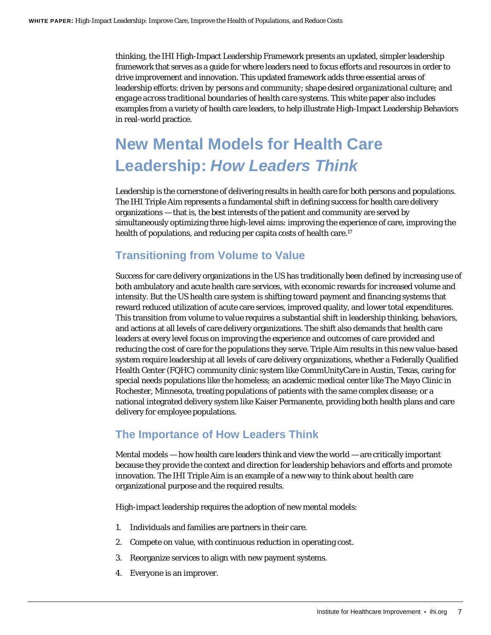thinking, the IHI High-Impact Leadership Framework presents an updated, simpler leadership framework that serves as a guide for where leaders need to focus efforts and resources in order to drive improvement and innovation. This updated framework adds three essential areas of leadership efforts: *driven by persons and community*; *shape desired organizational culture*; and *engage across traditional boundaries of health care systems*. This white paper also includes examples from a variety of health care leaders, to help illustrate High-Impact Leadership Behaviors in real-world practice.

## <span id="page-6-0"></span>**New Mental Models for Health Care Leadership:** *How Leaders Think*

Leadership is the cornerstone of delivering results in health care for both persons and populations. The IHI Triple Aim represents a fundamental shift in defining success for health care delivery organizations — that is, the best interests of the patient and community are served by simultaneously optimizing three high-level aims: improving the experience of care, improving the health of populations, and reducing per capita costs of health care.<sup>17</sup>

### **Transitioning from Volume to Value**

Success for care delivery organizations in the US has traditionally been defined by increasing use of both ambulatory and acute health care services, with economic rewards for increased volume and intensity. But the US health care system is shifting toward payment and financing systems that reward reduced utilization of acute care services, improved quality, and lower total expenditures. This transition from volume to value requires a substantial shift in leadership thinking, behaviors, and actions at all levels of care delivery organizations. The shift also demands that health care leaders at every level focus on improving the experience and outcomes of care provided and reducing the cost of care for the populations they serve. Triple Aim results in this new value-based system require leadership at all levels of care delivery organizations, whether a Federally Qualified Health Center (FQHC) community clinic system like CommUnityCare in Austin, Texas, caring for special needs populations like the homeless; an academic medical center like The Mayo Clinic in Rochester, Minnesota, treating populations of patients with the same complex disease; or a national integrated delivery system like Kaiser Permanente, providing both health plans and care delivery for employee populations.

### **The Importance of How Leaders Think**

Mental models — how health care leaders think and view the world — are critically important because they provide the context and direction for leadership behaviors and efforts and promote innovation. The IHI Triple Aim is an example of a new way to think about health care organizational purpose and the required results.

High-impact leadership requires the adoption of new mental models:

- 1. Individuals and families are partners in their care.
- 2. Compete on value, with continuous reduction in operating cost.
- 3. Reorganize services to align with new payment systems.
- 4. Everyone is an improver.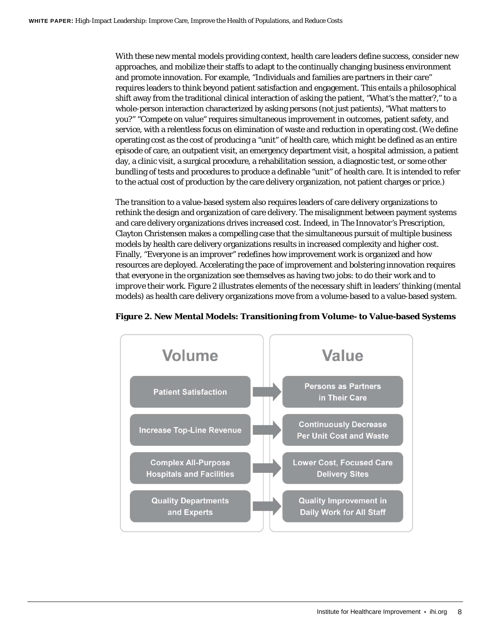With these new mental models providing context, health care leaders define success, consider new approaches, and mobilize their staffs to adapt to the continually changing business environment and promote innovation. For example, "Individuals and families are partners in their care" requires leaders to think beyond patient satisfaction and engagement. This entails a philosophical shift away from the traditional clinical interaction of asking the patient, "What's the matter?," to a whole-person interaction characterized by asking persons (not just patients), "What matters to you?" "Compete on value" requires simultaneous improvement in outcomes, patient safety, and service, with a relentless focus on elimination of waste and reduction in operating cost.(We define operating cost as the cost of producing a "unit" of health care, which might be defined as an entire episode of care, an outpatient visit, an emergency department visit, a hospital admission, a patient day, a clinic visit, a surgical procedure, a rehabilitation session, a diagnostic test, or some other bundling of tests and procedures to produce a definable "unit" of health care. It is intended to refer to the actual cost of production by the care delivery organization, not patient charges or price.)

The transition to a value-based system also requires leaders of care delivery organizations to rethink the design and organization of care delivery. The misalignment between payment systems and care delivery organizations drives increased cost. Indeed, in *The Innovator's Prescription*, Clayton Christensen makes a compelling case that the simultaneous pursuit of multiple business models by health care delivery organizations results in increased complexity and higher cost. Finally, "Everyone is an improver" redefines how improvement work is organized and how resources are deployed. Accelerating the pace of improvement and bolstering innovation requires that everyone in the organization see themselves as having two jobs: to *do* their work and to *improve* their work. Figure 2 illustrates elements of the necessary shift in leaders' thinking (mental models) as health care delivery organizations move from a volume-based to a value-based system.



#### **Figure 2. New Mental Models: Transitioning from Volume- to Value-based Systems**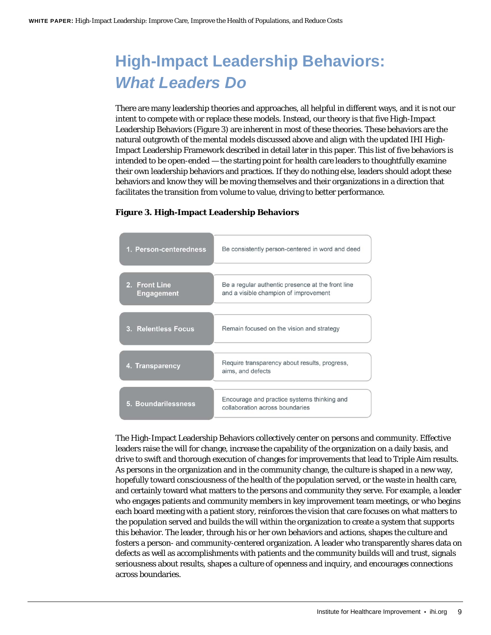## <span id="page-8-0"></span>**High-Impact Leadership Behaviors:**  *What Leaders Do*

There are many leadership theories and approaches, all helpful in different ways, and it is not our intent to compete with or replace these models. Instead, our theory is that five High-Impact Leadership Behaviors (Figure 3) are inherent in most of these theories. These behaviors are the natural outgrowth of the mental models discussed above and align with the updated IHI High-Impact Leadership Framework described in detail later in this paper. This list of five behaviors is intended to be open-ended — the starting point for health care leaders to thoughtfully examine their own leadership behaviors and practices. If they do nothing else, leaders should adopt these behaviors and know they will be moving themselves and their organizations in a direction that facilitates the transition from volume to value, driving to better performance.

| 1. Person-centeredness             | Be consistently person-centered in word and deed                                           |
|------------------------------------|--------------------------------------------------------------------------------------------|
| 2. Front Line<br><b>Engagement</b> | Be a regular authentic presence at the front line<br>and a visible champion of improvement |
| 3. Relentless Focus                | Remain focused on the vision and strategy                                                  |
| 4. Transparency                    | Require transparency about results, progress,<br>aims, and defects                         |
| 5. Boundarilessness                | Encourage and practice systems thinking and<br>collaboration across boundaries             |

#### **Figure 3. High-Impact Leadership Behaviors**

The High-Impact Leadership Behaviors collectively center on persons and community. Effective leaders raise the will for change, increase the capability of the organization on a daily basis, and drive to swift and thorough execution of changes for improvements that lead to Triple Aim results. As persons in the organization and in the community change, the culture is shaped in a new way, hopefully toward consciousness of the health of the population served, or the waste in health care, and certainly toward what matters to the persons and community they serve. For example, a leader who engages patients and community members in key improvement team meetings, or who begins each board meeting with a patient story, reinforces the vision that care focuses on what matters to the population served and builds the will within the organization to create a system that supports this behavior. The leader, through his or her own behaviors and actions, shapes the culture and fosters a person- and community-centered organization. A leader who transparently shares data on defects as well as accomplishments with patients and the community builds will and trust, signals seriousness about results, shapes a culture of openness and inquiry, and encourages connections across boundaries.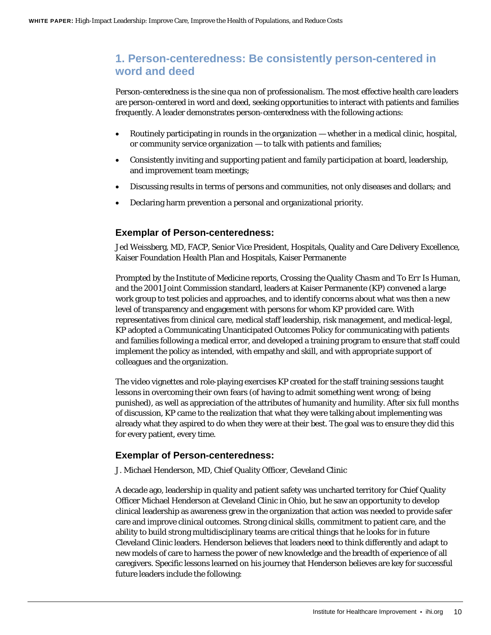### **1. Person-centeredness: Be consistently person-centered in word and deed**

Person-centeredness is the *sine qua non* of professionalism. The most effective health care leaders are person-centered in word and deed, seeking opportunities to interact with patients and families frequently. A leader demonstrates person-centeredness with the following actions:

- Routinely participating in rounds in the organization whether in a medical clinic, hospital, or community service organization — to talk with patients and families;
- Consistently inviting and supporting patient and family participation at board, leadership, and improvement team meetings;
- Discussing results in terms of persons and communities, not only diseases and dollars; and
- Declaring harm prevention a personal and organizational priority.

#### **Exemplar of Person-centeredness:**

Jed Weissberg, MD, FACP, Senior Vice President, Hospitals, Quality and Care Delivery Excellence, Kaiser Foundation Health Plan and Hospitals, Kaiser Permanente

Prompted by the Institute of Medicine reports, *Crossing the Quality Chasm* and *To Err Is Human*, and the 2001 Joint Commission standard, leaders at Kaiser Permanente (KP) convened a large work group to test policies and approaches, and to identify concerns about what was then a new level of transparency and engagement with persons for whom KP provided care. With representatives from clinical care, medical staff leadership, risk management, and medical-legal, KP adopted a Communicating Unanticipated Outcomes Policy for communicating with patients and families following a medical error, and developed a training program to ensure that staff could implement the policy as intended, with empathy and skill, and with appropriate support of colleagues and the organization.

The video vignettes and role-playing exercises KP created for the staff training sessions taught lessons in overcoming their own fears (of having to admit something went wrong; of being punished), as well as appreciation of the attributes of humanity and humility. After six full months of discussion, KP came to the realization that what they were talking about implementing was already what they aspired to do when they were at their best. The goal was to ensure they did this for every patient, every time.

#### **Exemplar of Person-centeredness:**

J. Michael Henderson, MD, Chief Quality Officer, Cleveland Clinic

A decade ago, leadership in quality and patient safety was uncharted territory for Chief Quality Officer Michael Henderson at Cleveland Clinic in Ohio, but he saw an opportunity to develop clinical leadership as awareness grew in the organization that action was needed to provide safer care and improve clinical outcomes. Strong clinical skills, commitment to patient care, and the ability to build strong multidisciplinary teams are critical things that he looks for in future Cleveland Clinic leaders. Henderson believes that leaders need to think differently and adapt to new models of care to harness the power of new knowledge and the breadth of experience of all caregivers. Specific lessons learned on his journey that Henderson believes are key for successful future leaders include the following: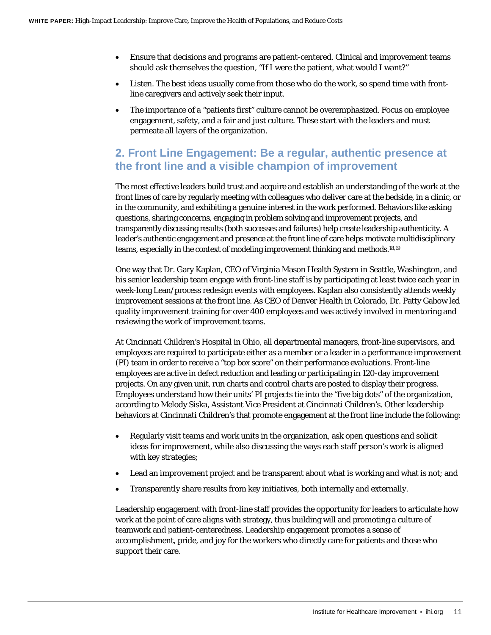- Ensure that decisions and programs are patient-centered. Clinical and improvement teams should ask themselves the question, "If I were the patient, what would I want?"
- Listen. The best ideas usually come from those who do the work, so spend time with frontline caregivers and actively seek their input.
- The importance of a "patients first" culture cannot be overemphasized. Focus on employee engagement, safety, and a fair and just culture. These start with the leaders and must permeate all layers of the organization.

## **2. Front Line Engagement: Be a regular, authentic presence at the front line and a visible champion of improvement**

The most effective leaders build trust and acquire and establish an understanding of the work at the front lines of care by regularly meeting with colleagues who deliver care at the bedside, in a clinic, or in the community, and exhibiting a genuine interest in the work performed. Behaviors like asking questions, sharing concerns, engaging in problem solving and improvement projects, and transparently discussing results (both successes and failures) help create leadership authenticity. A leader's authentic engagement and presence at the front line of care helps motivate multidisciplinary teams, especially in the context of modeling improvement thinking and methods[.18,1](#page-30-3)9

One way that Dr. Gary Kaplan, CEO of Virginia Mason Health System in Seattle, Washington, and his senior leadership team engage with front-line staff is by participating at least twice each year in week-long Lean/process redesign events with employees. Kaplan also consistently attends weekly improvement sessions at the front line. As CEO of Denver Health in Colorado, Dr. Patty Gabow led quality improvement training for over 400 employees and was actively involved in mentoring and reviewing the work of improvement teams.

At Cincinnati Children's Hospital in Ohio, all departmental managers, front-line supervisors, and employees are required to participate either as a member or a leader in a performance improvement (PI) team in order to receive a "top box score" on their performance evaluations. Front-line employees are active in defect reduction and leading or participating in 120-day improvement projects. On any given unit, run charts and control charts are posted to display their progress. Employees understand how their units' PI projects tie into the "five big dots" of the organization, according to Melody Siska, Assistant Vice President at Cincinnati Children's. Other leadership behaviors at Cincinnati Children's that promote engagement at the front line include the following:

- Regularly visit teams and work units in the organization, ask open questions and solicit ideas for improvement, while also discussing the ways each staff person's work is aligned with key strategies;
- Lead an improvement project and be transparent about what is working and what is not; and
- Transparently share results from key initiatives, both internally and externally.

Leadership engagement with front-line staff provides the opportunity for leaders to articulate how work at the point of care aligns with strategy, thus building will and promoting a culture of teamwork and patient-centeredness. Leadership engagement promotes a sense of accomplishment, pride, and joy for the workers who directly care for patients and those who support their care.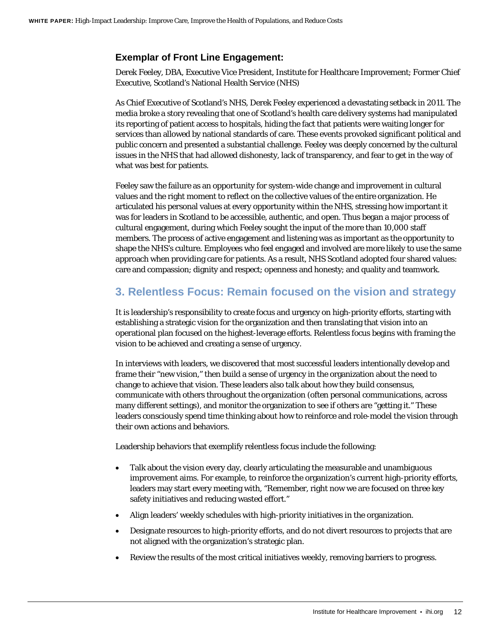#### **Exemplar of Front Line Engagement:**

Derek Feeley, DBA, Executive Vice President, Institute for Healthcare Improvement; Former Chief Executive, Scotland's National Health Service (NHS)

As Chief Executive of Scotland's NHS, Derek Feeley experienced a devastating setback in 2011. The media broke a story revealing that one of Scotland's health care delivery systems had manipulated its reporting of patient access to hospitals, hiding the fact that patients were waiting longer for services than allowed by national standards of care. These events provoked significant political and public concern and presented a substantial challenge. Feeley was deeply concerned by the cultural issues in the NHS that had allowed dishonesty, lack of transparency, and fear to get in the way of what was best for patients.

Feeley saw the failure as an opportunity for system-wide change and improvement in cultural values and the right moment to reflect on the collective values of the entire organization. He articulated his personal values at every opportunity within the NHS, stressing how important it was for leaders in Scotland to be accessible, authentic, and open. Thus began a major process of cultural engagement, during which Feeley sought the input of the more than 10,000 staff members. The process of active engagement and listening was as important as the opportunity to shape the NHS's culture. Employees who feel engaged and involved are more likely to use the same approach when providing care for patients. As a result, NHS Scotland adopted four shared values: care and compassion; dignity and respect; openness and honesty; and quality and teamwork.

## **3. Relentless Focus: Remain focused on the vision and strategy**

It is leadership's responsibility to create focus and urgency on high-priority efforts, starting with establishing a strategic vision for the organization and then translating that vision into an operational plan focused on the highest-leverage efforts. Relentless focus begins with framing the vision to be achieved and creating a sense of urgency.

In interviews with leaders, we discovered that most successful leaders intentionally develop and frame their "new vision," then build a sense of urgency in the organization about the need to change to achieve that vision. These leaders also talk about how they build consensus, communicate with others throughout the organization (often personal communications, across many different settings), and monitor the organization to see if others are "getting it." These leaders consciously spend time thinking about how to reinforce and role-model the vision through their own actions and behaviors.

Leadership behaviors that exemplify relentless focus include the following:

- Talk about the vision every day, clearly articulating the measurable and unambiguous improvement aims. For example, to reinforce the organization's current high-priority efforts, leaders may start every meeting with, "Remember, right now we are focused on three key safety initiatives and reducing wasted effort."
- Align leaders' weekly schedules with high-priority initiatives in the organization.
- Designate resources to high-priority efforts, and do not divert resources to projects that are not aligned with the organization's strategic plan.
- Review the results of the most critical initiatives weekly, removing barriers to progress.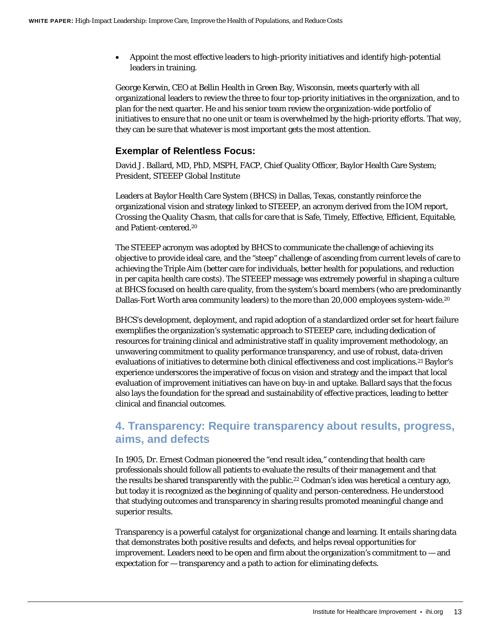• Appoint the most effective leaders to high-priority initiatives and identify high-potential leaders in training.

George Kerwin, CEO at Bellin Health in Green Bay, Wisconsin, meets quarterly with all organizational leaders to review the three to four top-priority initiatives in the organization, and to plan for the next quarter. He and his senior team review the organization-wide portfolio of initiatives to ensure that no one unit or team is overwhelmed by the high-priority efforts. That way, they can be sure that whatever is most important gets the most attention.

#### **Exemplar of Relentless Focus:**

David J. Ballard, MD, PhD, MSPH, FACP, Chief Quality Officer, Baylor Health Care System; President, STEEEP Global Institute

Leaders at Baylor Health Care System (BHCS) in Dallas, Texas, constantly reinforce the organizational vision and strategy linked to STEEEP, an acronym derived from the IOM report, *Crossing the Quality Chasm*, that calls for care that is Safe, Timely, Effective, Efficient, Equitable, and Patient-centered[.20](#page-30-4)

The STEEEP acronym was adopted by BHCS to communicate the challenge of achieving its objective to provide ideal care, and the "steep" challenge of ascending from current levels of care to achieving the Triple Aim (better care for individuals, better health for populations, and reduction in per capita health care costs). The STEEEP message was extremely powerful in shaping a culture at BHCS focused on health care quality, from the system's board members (who are predominantly Dallas-Fort Worth area community leaders) to the more than 20,000 employees system-wid[e.20](#page-30-4)

BHCS's development, deployment, and rapid adoption of a standardized order set for heart failure exemplifies the organization's systematic approach to STEEEP care, including dedication of resources for training clinical and administrative staff in quality improvement methodology, an unwavering commitment to quality performance transparency, and use of robust, data-driven evaluations of initiatives to determine both clinical effectiveness and cost implications[.21](#page-30-5) Baylor's experience underscores the imperative of focus on vision and strategy and the impact that local evaluation of improvement initiatives can have on buy-in and uptake. Ballard says that the focus also lays the foundation for the spread and sustainability of effective practices, leading to better clinical and financial outcomes.

### **4. Transparency: Require transparency about results, progress, aims, and defects**

In 1905, Dr. Ernest Codman pioneered the "end result idea," contending that health care professionals should follow all patients to evaluate the results of their management and that the results be shared transparently with the public.<sup>22</sup> Codman's idea was heretical a century ago, but today it is recognized as the beginning of quality and person-centeredness. He understood that studying outcomes and transparency in sharing results promoted meaningful change and superior results.

Transparency is a powerful catalyst for organizational change and learning. It entails sharing data that demonstrates both positive results and defects, and helps reveal opportunities for improvement. Leaders need to be open and firm about the organization's commitment to — and expectation for — transparency and a path to action for eliminating defects.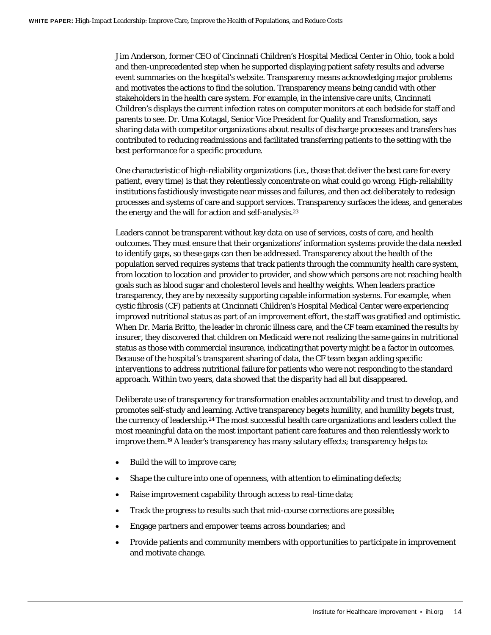Jim Anderson, former CEO of Cincinnati Children's Hospital Medical Center in Ohio, took a bold and then-unprecedented step when he supported displaying patient safety results and adverse event summaries on the hospital's website. Transparency means acknowledging major problems and motivates the actions to find the solution. Transparency means being candid with other stakeholders in the health care system. For example, in the intensive care units, Cincinnati Children's displays the current infection rates on computer monitors at each bedside for staff and parents to see. Dr. Uma Kotagal, Senior Vice President for Quality and Transformation, says sharing data with competitor organizations about results of discharge processes and transfers has contributed to reducing readmissions and facilitated transferring patients to the setting with the best performance for a specific procedure.

One characteristic of high-reliability organizations (i.e., those that deliver the best care for every patient, every time) is that they relentlessly concentrate on what could go wrong. High-reliability institutions fastidiously investigate near misses and failures, and then act deliberately to redesign processes and systems of care and support services. Transparency surfaces the ideas, and generates the energy and the will for action and self-analysis[.23](#page-30-7)

Leaders cannot be transparent without key data on use of services, costs of care, and health outcomes. They must ensure that their organizations' information systems provide the data needed to identify gaps, so these gaps can then be addressed. Transparency about the health of the population served requires systems that track patients through the community health care system, from location to location and provider to provider, and show which persons are not reaching health goals such as blood sugar and cholesterol levels and healthy weights. When leaders practice transparency, they are by necessity supporting capable information systems. For example, when cystic fibrosis (CF) patients at Cincinnati Children's Hospital Medical Center were experiencing improved nutritional status as part of an improvement effort, the staff was gratified and optimistic. When Dr. Maria Britto, the leader in chronic illness care, and the CF team examined the results by insurer, they discovered that children on Medicaid were not realizing the same gains in nutritional status as those with commercial insurance, indicating that poverty might be a factor in outcomes. Because of the hospital's transparent sharing of data, the CF team began adding specific interventions to address nutritional failure for patients who were not responding to the standard approach. Within two years, data showed that the disparity had all but disappeared.

Deliberate use of transparency for transformation enables accountability and trust to develop, and promotes self-study and learning. Active transparency begets humility, and humility begets trust, the currency of leadership[.24](#page-30-8) The most successful health care organizations and leaders collect the most meaningful data on the most important patient care features and then relentlessly work to improve them[.19](#page-30-9) A leader's transparency has many salutary effects; transparency helps to:

- Build the will to improve care;
- Shape the culture into one of openness, with attention to eliminating defects;
- Raise improvement capability through access to real-time data;
- Track the progress to results such that mid-course corrections are possible;
- Engage partners and empower teams across boundaries; and
- Provide patients and community members with opportunities to participate in improvement and motivate change.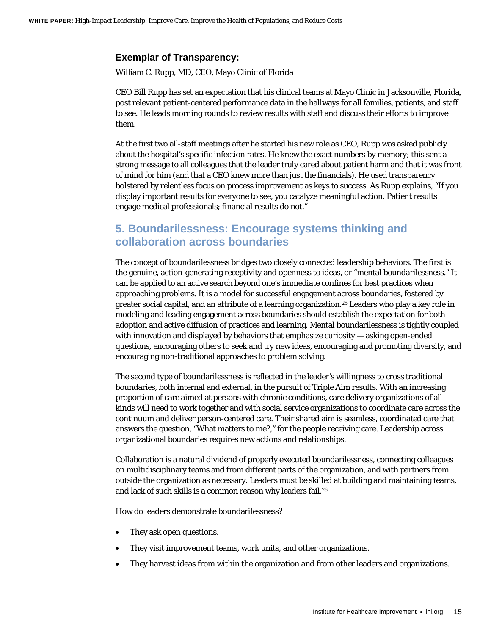#### **Exemplar of Transparency:**

William C. Rupp, MD, CEO, Mayo Clinic of Florida

CEO Bill Rupp has set an expectation that his clinical teams at Mayo Clinic in Jacksonville, Florida, post relevant patient-centered performance data in the hallways for all families, patients, and staff to see. He leads morning rounds to review results with staff and discuss their efforts to improve them.

At the first two all-staff meetings after he started his new role as CEO, Rupp was asked publicly about the hospital's specific infection rates. He knew the exact numbers by memory; this sent a strong message to all colleagues that the leader truly cared about patient harm and that it was front of mind for him (and that a CEO knew more than just the financials). He used transparency bolstered by relentless focus on process improvement as keys to success. As Rupp explains, "If you display important results for everyone to see, you catalyze meaningful action. Patient results engage medical professionals; financial results do not."

### **5. Boundarilessness: Encourage systems thinking and collaboration across boundaries**

The concept of boundarilessness bridges two closely connected leadership behaviors. The first is the genuine, action-generating receptivity and openness to ideas, or "mental boundarilessness." It can be applied to an active search beyond one's immediate confines for best practices when approaching problems. It is a model for successful engagement across boundaries, fostered by greater social capital, and an attribute of a learning organization[.25](#page-30-10) Leaders who play a key role in modeling and leading engagement across boundaries should establish the expectation for both adoption and active diffusion of practices and learning. Mental boundarilessness is tightly coupled with innovation and displayed by behaviors that emphasize curiosity — asking open-ended questions, encouraging others to seek and try new ideas, encouraging and promoting diversity, and encouraging non-traditional approaches to problem solving.

The second type of boundarilessness is reflected in the leader's willingness to cross traditional boundaries, both internal and external, in the pursuit of Triple Aim results. With an increasing proportion of care aimed at persons with chronic conditions, care delivery organizations of all kinds will need to work together and with social service organizations to coordinate care across the continuum and deliver person-centered care. Their shared aim is seamless, coordinated care that answers the question, "What matters to me?," for the people receiving care. Leadership across organizational boundaries requires new actions and relationships.

Collaboration is a natural dividend of properly executed boundarilessness, connecting colleagues on multidisciplinary teams and from different parts of the organization, and with partners from outside the organization as necessary. Leaders must be skilled at building and maintaining teams, and lack of such skills is a common reason why leaders fail.<sup>26</sup>

How do leaders demonstrate boundarilessness?

- They ask open questions.
- They visit improvement teams, work units, and other organizations.
- They harvest ideas from within the organization and from other leaders and organizations.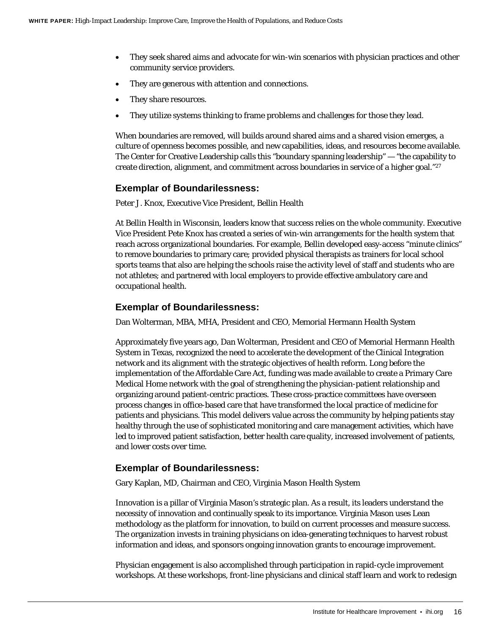- They seek shared aims and advocate for win-win scenarios with physician practices and other community service providers.
- They are generous with attention and connections.
- They share resources.
- They utilize systems thinking to frame problems and challenges for those they lead.

When boundaries are removed, will builds around shared aims and a shared vision emerges, a culture of openness becomes possible, and new capabilities, ideas, and resources become available. The Center for Creative Leadership calls this "boundary spanning leadership" — "the capability to create direction, alignment, and commitment across boundaries in service of a higher goal."27

#### **Exemplar of Boundarilessness:**

Peter J. Knox, Executive Vice President, Bellin Health

At Bellin Health in Wisconsin, leaders know that success relies on the whole community. Executive Vice President Pete Knox has created a series of win-win arrangements for the health system that reach across organizational boundaries. For example, Bellin developed easy-access "minute clinics" to remove boundaries to primary care; provided physical therapists as trainers for local school sports teams that also are helping the schools raise the activity level of staff and students who are not athletes; and partnered with local employers to provide effective ambulatory care and occupational health.

#### **Exemplar of Boundarilessness:**

Dan Wolterman, MBA, MHA, President and CEO, Memorial Hermann Health System

Approximately five years ago, Dan Wolterman, President and CEO of Memorial Hermann Health System in Texas, recognized the need to accelerate the development of the Clinical Integration network and its alignment with the strategic objectives of health reform. Long before the implementation of the Affordable Care Act, funding was made available to create a Primary Care Medical Home network with the goal of strengthening the physician-patient relationship and organizing around patient-centric practices. These cross-practice committees have overseen process changes in office-based care that have transformed the local practice of medicine for patients and physicians. This model delivers value across the community by helping patients stay healthy through the use of sophisticated monitoring and care management activities, which have led to improved patient satisfaction, better health care quality, increased involvement of patients, and lower costs over time.

#### **Exemplar of Boundarilessness:**

Gary Kaplan, MD, Chairman and CEO, Virginia Mason Health System

Innovation is a pillar of Virginia Mason's strategic plan. As a result, its leaders understand the necessity of innovation and continually speak to its importance. Virginia Mason uses Lean methodology as the platform for innovation, to build on current processes and measure success. The organization invests in training physicians on idea-generating techniques to harvest robust information and ideas, and sponsors ongoing innovation grants to encourage improvement.

Physician engagement is also accomplished through participation in rapid-cycle improvement workshops. At these workshops, front-line physicians and clinical staff learn and work to redesign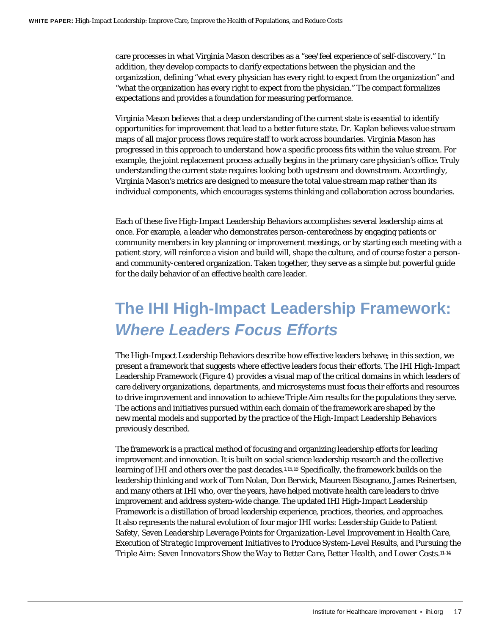care processes in what Virginia Mason describes as a "see/feel experience of self-discovery." In addition, they develop compacts to clarify expectations between the physician and the organization, defining "what every physician has every right to expect from the organization" and "what the organization has every right to expect from the physician." The compact formalizes expectations and provides a foundation for measuring performance.

Virginia Mason believes that a deep understanding of the current state is essential to identify opportunities for improvement that lead to a better future state. Dr. Kaplan believes value stream maps of all major process flows require staff to work across boundaries. Virginia Mason has progressed in this approach to understand how a specific process fits within the value stream. For example, the joint replacement process actually begins in the primary care physician's office. Truly understanding the current state requires looking both upstream and downstream. Accordingly, Virginia Mason's metrics are designed to measure the total value stream map rather than its individual components, which encourages systems thinking and collaboration across boundaries.

Each of these five High-Impact Leadership Behaviors accomplishes several leadership aims at once. For example, a leader who demonstrates person-centeredness by engaging patients or community members in key planning or improvement meetings, or by starting each meeting with a patient story, will reinforce a vision and build will, shape the culture, and of course foster a personand community-centered organization. Taken together, they serve as a simple but powerful guide for the daily behavior of an effective health care leader.

## <span id="page-16-0"></span>**The IHI High-Impact Leadership Framework:**  *Where Leaders Focus Efforts*

The High-Impact Leadership Behaviors describe how effective leaders behave; in this section, we present a framework that suggests where effective leaders focus their efforts. The IHI High-Impact Leadership Framework (Figure 4) provides a visual map of the critical domains in which leaders of care delivery organizations, departments, and microsystems must focus their efforts and resources to drive improvement and innovation to achieve Triple Aim results for the populations they serve. The actions and initiatives pursued within each domain of the framework are shaped by the new mental models and supported by the practice of the High-Impact Leadership Behaviors previously described.

The framework is a practical method of focusing and organizing leadership efforts for leading improvement and innovation. It is built on social science leadership research and the collective learning of IHI and others over the past decades[.1,](#page-29-1)[15,](#page-30-0)[16](#page-30-1) Specifically, the framework builds on the leadership thinking and work of Tom Nolan, Don Berwick, Maureen Bisognano, James Reinertsen, and many others at IHI who, over the years, have helped motivate health care leaders to drive improvement and address system-wide change. The updated IHI High-Impact Leadership Framework is a distillation of broad leadership experience, practices, theories, and approaches. It also represents the natural evolution of four major IHI works: *Leadership Guide to Patient Safety*, *Seven Leadership Leverage Points for Organization-Level Improvement in Health Care*, *Execution of Strategic Improvement Initiatives to Produce System-Level Results*, and *Pursuing the Triple Aim: Seven Innovators Show the Way to Better Care, Better Health, and Lower Costs*[.11-14](#page-29-2)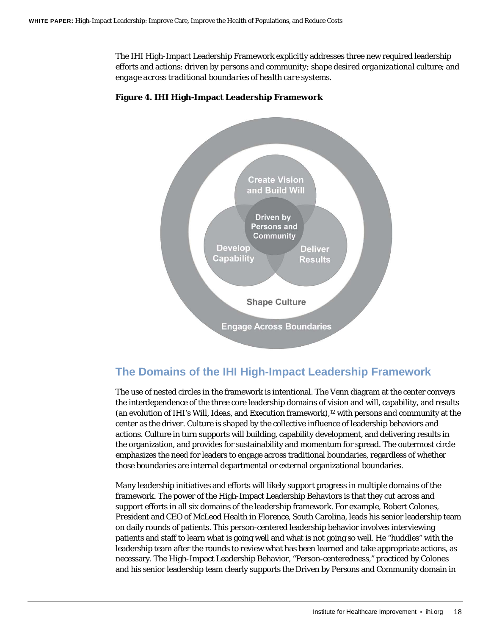The IHI High-Impact Leadership Framework explicitly addresses three new required leadership efforts and actions: *driven by persons and community*; *shape desired organizational culture*; and *engage across traditional boundaries of health care systems*.



#### **Figure 4. IHI High-Impact Leadership Framework**

### **The Domains of the IHI High-Impact Leadership Framework**

The use of nested circles in the framework is intentional. The Venn diagram at the center conveys the interdependence of the three core leadership domains of vision and will, capability, and results (an evolution of IHI's *Will*, *Ideas*, and *Execution* framework),12 with persons and community at the center as the driver. Culture is shaped by the collective influence of leadership behaviors and actions. Culture in turn supports will building, capability development, and delivering results in the organization, and provides for sustainability and momentum for spread. The outermost circle emphasizes the need for leaders to engage across traditional boundaries, regardless of whether those boundaries are internal departmental or external organizational boundaries.

Many leadership initiatives and efforts will likely support progress in multiple domains of the framework. The power of the High-Impact Leadership Behaviors is that they cut across and support efforts in all six domains of the leadership framework. For example, Robert Colones, President and CEO of McLeod Health in Florence, South Carolina, leads his senior leadership team on daily rounds of patients. This person-centered leadership behavior involves interviewing patients and staff to learn what is going well and what is not going so well. He "huddles" with the leadership team after the rounds to review what has been learned and take appropriate actions, as necessary. The High-Impact Leadership Behavior, "Person-centeredness," practiced by Colones and his senior leadership team clearly supports the Driven by Persons and Community domain in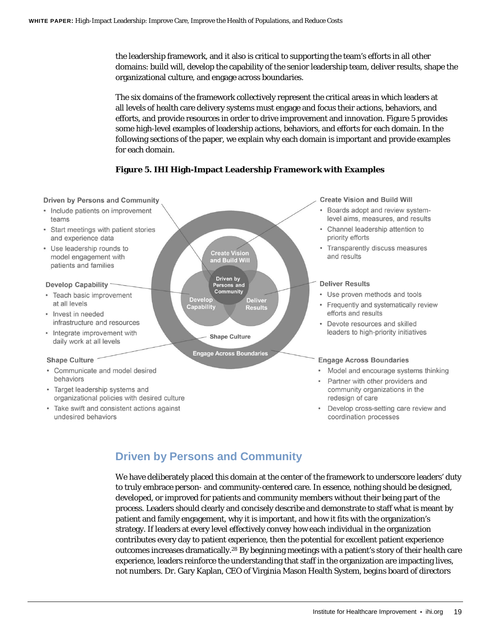the leadership framework, and it also is critical to supporting the team's efforts in all other domains: build will, develop the capability of the senior leadership team, deliver results, shape the organizational culture, and engage across boundaries.

The six domains of the framework collectively represent the critical areas in which leaders at all levels of health care delivery systems must engage and focus their actions, behaviors, and efforts, and provide resources in order to drive improvement and innovation. Figure 5 provides some high-level examples of leadership actions, behaviors, and efforts for each domain. In the following sections of the paper, we explain why each domain is important and provide examples for each domain.

#### **Figure 5. IHI High-Impact Leadership Framework with Examples**

#### **Driven by Persons and Community Create Vision and Build Will** • Include patients on improvement Boards adopt and review systemteams level aims, measures, and results • Start meetings with patient stories Channel leadership attention to and experience data priority efforts • Transparently discuss measures • Use leadership rounds to **Create Vision** and results model engagement with and Build Will patients and families Driven by **Deliver Results Develop Capability** Persons and Community • Teach basic improvement • Use proven methods and tools **Develop Deliver** at all levels • Frequently and systematically review Capability Results efforts and results • Invest in needed infrastructure and resources • Devote resources and skilled leaders to high-priority initiatives • Integrate improvement with **Shape Culture** daily work at all levels **Engage Across Boundaries Shape Culture Engage Across Boundaries** • Communicate and model desired behaviors Partner with other providers and • Target leadership systems and community organizations in the organizational policies with desired culture redesign of care • Take swift and consistent actions against • Develop cross-setting care review and

undesired behaviors

- Model and encourage systems thinking
- coordination processes

## **Driven by Persons and Community**

We have deliberately placed this domain at the center of the framework to underscore leaders' duty to truly embrace person- and community-centered care. In essence, nothing should be designed, developed, or improved for patients and community members without their being part of the process. Leaders should clearly and concisely describe and demonstrate to staff what is meant by patient and family engagement, why it is important, and how it fits with the organization's strategy. If leaders at every level effectively convey how each individual in the organization contributes every day to patient experience, then the potential for excellent patient experience outcomes increases dramatically.28 By beginning meetings with a patient's story of their health care experience, leaders reinforce the understanding that staff in the organization are impacting lives, not numbers. Dr. Gary Kaplan, CEO of Virginia Mason Health System, begins board of directors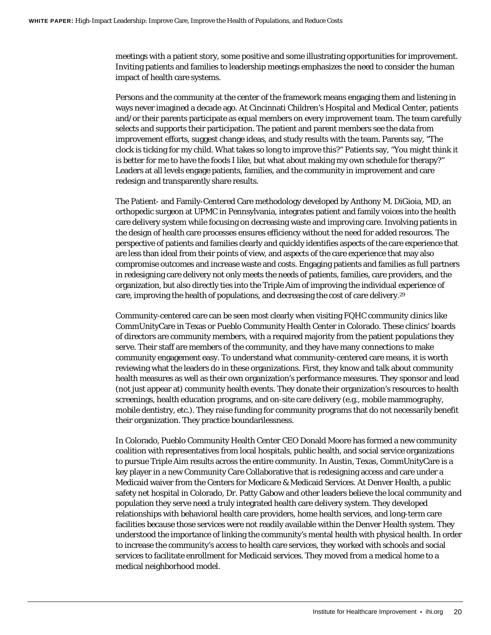meetings with a patient story, some positive and some illustrating opportunities for improvement. Inviting patients and families to leadership meetings emphasizes the need to consider the human impact of health care systems.

Persons and the community at the center of the framework means engaging them and listening in ways never imagined a decade ago. At Cincinnati Children's Hospital and Medical Center, patients and/or their parents participate as equal members on every improvement team. The team carefully selects and supports their participation. The patient and parent members see the data from improvement efforts, suggest change ideas, and study results with the team. Parents say, "The clock is ticking for my child. What takes so long to improve this?" Patients say, "You might think it is better for me to have the foods I like, but what about making my own schedule for therapy?" Leaders at all levels engage patients, families, and the community in improvement and care redesign and transparently share results.

The Patient- and Family-Centered Care methodology developed by Anthony M. DiGioia, MD, an orthopedic surgeon at UPMC in Pennsylvania, integrates patient and family voices into the health care delivery system while focusing on decreasing waste and improving care. Involving patients in the design of health care processes ensures efficiency without the need for added resources. The perspective of patients and families clearly and quickly identifies aspects of the care experience that are less than ideal from their points of view, and aspects of the care experience that may also compromise outcomes and increase waste and costs. Engaging patients and families as full partners in redesigning care delivery not only meets the needs of patients, families, care providers, and the organization, but also directly ties into the Triple Aim of improving the individual experience of care, improving the health of populations, and decreasing the cost of care delivery.29

Community-centered care can be seen most clearly when visiting FQHC community clinics like CommUnityCare in Texas or Pueblo Community Health Center in Colorado. These clinics' boards of directors are community members, with a required majority from the patient populations they serve. Their staff are members of the community, and they have many connections to make community engagement easy. To understand what community-centered care means, it is worth reviewing what the leaders do in these organizations. First, they know and talk about community health measures as well as their own organization's performance measures. They sponsor and lead (not just appear at) community health events. They donate their organization's resources to health screenings, health education programs, and on-site care delivery (e.g., mobile mammography, mobile dentistry, etc.). They raise funding for community programs that do not necessarily benefit their organization. They practice boundarilessness.

In Colorado, Pueblo Community Health Center CEO Donald Moore has formed a new community coalition with representatives from local hospitals, public health, and social service organizations to pursue Triple Aim results across the entire community. In Austin, Texas, CommUnityCare is a key player in a new Community Care Collaborative that is redesigning access and care under a Medicaid waiver from the Centers for Medicare & Medicaid Services. At Denver Health, a public safety net hospital in Colorado, Dr. Patty Gabow and other leaders believe the local community and population they serve need a truly integrated health care delivery system. They developed relationships with behavioral health care providers, home health services, and long-term care facilities because those services were not readily available within the Denver Health system. They understood the importance of linking the community's mental health with physical health. In order to increase the community's access to health care services, they worked with schools and social services to facilitate enrollment for Medicaid services. They moved from a medical home to a medical neighborhood model.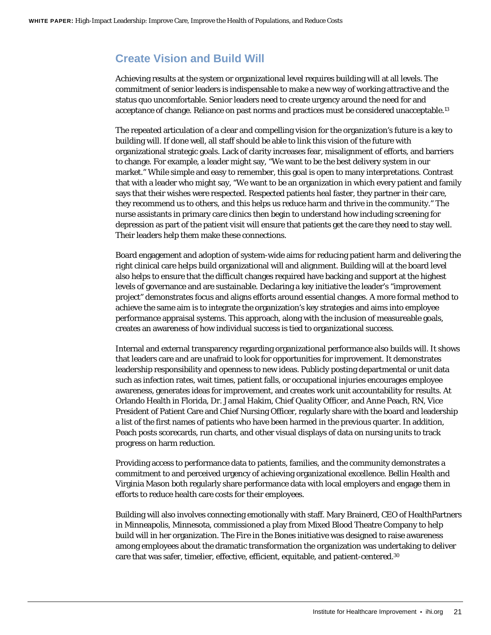### **Create Vision and Build Will**

Achieving results at the system or organizational level requires building will at all levels. The commitment of senior leaders is indispensable to make a new way of working attractive and the status quo uncomfortable. Senior leaders need to create urgency around the need for and acceptance of change. Reliance on past norms and practices must be considered unacceptable[.13](#page-29-3)

The repeated articulation of a clear and compelling vision for the organization's future is a key to building will. If done well, all staff should be able to link this vision of the future with organizational strategic goals. Lack of clarity increases fear, misalignment of efforts, and barriers to change. For example, a leader might say, "We want to be the best delivery system in our market." While simple and easy to remember, this goal is open to many interpretations. Contrast that with a leader who might say, "We want to be an organization in which every patient and family says that their wishes were respected. Respected patients heal faster, they partner in their care, they recommend us to others, and this helps us reduce harm and thrive in the community." The nurse assistants in primary care clinics then begin to understand how including screening for depression as part of the patient visit will ensure that patients get the care they need to stay well. Their leaders help them make these connections.

Board engagement and adoption of system-wide aims for reducing patient harm and delivering the right clinical care helps build organizational will and alignment. Building will at the board level also helps to ensure that the difficult changes required have backing and support at the highest levels of governance and are sustainable. Declaring a key initiative the leader's "improvement project" demonstrates focus and aligns efforts around essential changes. A more formal method to achieve the same aim is to integrate the organization's key strategies and aims into employee performance appraisal systems. This approach, along with the inclusion of measureable goals, creates an awareness of how individual success is tied to organizational success.

Internal and external transparency regarding organizational performance also builds will. It shows that leaders care and are unafraid to look for opportunities for improvement. It demonstrates leadership responsibility and openness to new ideas. Publicly posting departmental or unit data such as infection rates, wait times, patient falls, or occupational injuries encourages employee awareness, generates ideas for improvement, and creates work unit accountability for results. At Orlando Health in Florida, Dr. Jamal Hakim, Chief Quality Officer, and Anne Peach, RN, Vice President of Patient Care and Chief Nursing Officer, regularly share with the board and leadership a list of the first names of patients who have been harmed in the previous quarter. In addition, Peach posts scorecards, run charts, and other visual displays of data on nursing units to track progress on harm reduction.

Providing access to performance data to patients, families, and the community demonstrates a commitment to and perceived urgency of achieving organizational excellence. Bellin Health and Virginia Mason both regularly share performance data with local employers and engage them in efforts to reduce health care costs for their employees.

Building will also involves connecting emotionally with staff. Mary Brainerd, CEO of HealthPartners in Minneapolis, Minnesota, commissioned a play from Mixed Blood Theatre Company to help build will in her organization. The *Fire in the Bones* initiative was designed to raise awareness among employees about the dramatic transformation the organization was undertaking to deliver care that was safer, timelier, effective, efficient, equitable, and patient-centere[d.30](#page-31-0)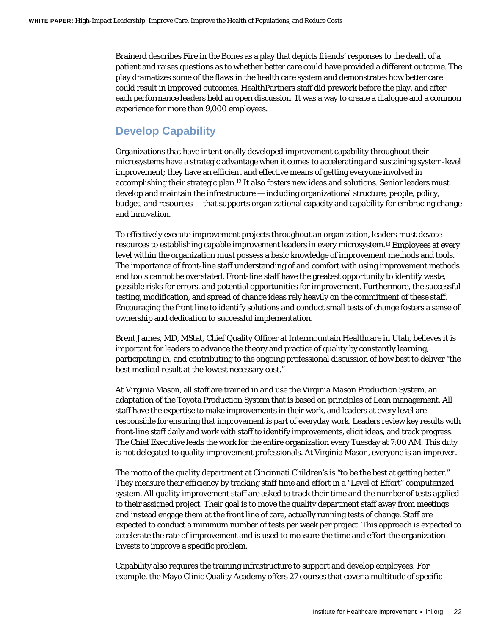Brainerd describes *Fire in the Bones* as a play that depicts friends' responses to the death of a patient and raises questions as to whether better care could have provided a different outcome. The play dramatizes some of the flaws in the health care system and demonstrates how better care could result in improved outcomes. HealthPartners staff did prework before the play, and after each performance leaders held an open discussion. It was a way to create a dialogue and a common experience for more than 9,000 employees.

### **Develop Capability**

Organizations that have intentionally developed improvement capability throughout their microsystems have a strategic advantage when it comes to accelerating and sustaining system-level improvement; they have an efficient and effective means of getting everyone involved in accomplishing their strategic plan[.12](#page-29-3) It also fosters new ideas and solutions. Senior leaders must develop and maintain the infrastructure — including organizational structure, people, policy, budget, and resources — that supports organizational capacity and capability for embracing change and innovation.

To effectively execute improvement projects throughout an organization, leaders must devote resources to establishing capable improvement leaders in every microsystem.13 Employees at every level within the organization must possess a basic knowledge of improvement methods and tools. The importance of front-line staff understanding of and comfort with using improvement methods and tools cannot be overstated. Front-line staff have the greatest opportunity to identify waste, possible risks for errors, and potential opportunities for improvement. Furthermore, the successful testing, modification, and spread of change ideas rely heavily on the commitment of these staff. Encouraging the front line to identify solutions and conduct small tests of change fosters a sense of ownership and dedication to successful implementation.

Brent James, MD, MStat, Chief Quality Officer at Intermountain Healthcare in Utah, believes it is important for leaders to advance the theory and practice of quality by constantly learning, participating in, and contributing to the ongoing professional discussion of how best to deliver "the best medical result at the lowest necessary cost."

At Virginia Mason, all staff are trained in and use the Virginia Mason Production System, an adaptation of the Toyota Production System that is based on principles of Lean management. All staff have the expertise to make improvements in their work, and leaders at every level are responsible for ensuring that improvement is part of everyday work. Leaders review key results with front-line staff daily and work with staff to identify improvements, elicit ideas, and track progress. The Chief Executive leads the work for the entire organization every Tuesday at 7:00 AM. This duty is not delegated to quality improvement professionals. At Virginia Mason, everyone is an improver.

The motto of the quality department at Cincinnati Children's is "to be the best at getting better." They measure their efficiency by tracking staff time and effort in a "Level of Effort" computerized system. All quality improvement staff are asked to track their time and the number of tests applied to their assigned project. Their goal is to move the quality department staff away from meetings and instead engage them at the front line of care, actually running tests of change. Staff are expected to conduct a minimum number of tests per week per project. This approach is expected to accelerate the rate of improvement and is used to measure the time and effort the organization invests to improve a specific problem.

Capability also requires the training infrastructure to support and develop employees. For example, the Mayo Clinic Quality Academy offers 27 courses that cover a multitude of specific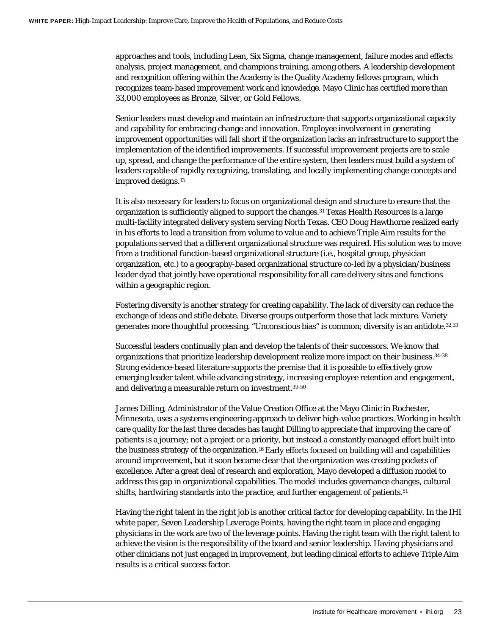approaches and tools, including Lean, Six Sigma, change management, failure modes and effects analysis, project management, and champions training, among others. A leadership development and recognition offering within the Academy is the Quality Academy fellows program, which recognizes team-based improvement work and knowledge. Mayo Clinic has certified more than 33,000 employees as Bronze, Silver, or Gold Fellows.

Senior leaders must develop and maintain an infrastructure that supports organizational capacity and capability for embracing change and innovation. Employee involvement in generating improvement opportunities will fall short if the organization lacks an infrastructure to support the implementation of the identified improvements. If successful improvement projects are to scale up, spread, and change the performance of the entire system, then leaders must build a system of leaders capable of rapidly recognizing, translating, and locally implementing change concepts and improved designs.13

It is also necessary for leaders to focus on organizational design and structure to ensure that the organization is sufficiently aligned to support the changes[.31](#page-31-1) Texas Health Resources is a large multi-facility integrated delivery system serving North Texas. CEO Doug Hawthorne realized early in his efforts to lead a transition from volume to value and to achieve Triple Aim results for the populations served that a different organizational structure was required. His solution was to move from a traditional function-based organizational structure (i.e., hospital group, physician organization, etc.) to a geography-based organizational structure co-led by a physician/business leader dyad that jointly have operational responsibility for all care delivery sites and functions within a geographic region.

Fostering diversity is another strategy for creating capability. The lack of diversity can reduce the exchange of ideas and stifle debate. Diverse groups outperform those that lack mixture. Variety generates more thoughtful processing. "Unconscious bias" is common; diversity is an antidot[e.32](#page-31-2)[,33](#page-31-3)

Successful leaders continually plan and develop the talents of their successors. We know that organizations that prioritize leadership development realize more impact on their business[.34-3](#page-31-4)8 Strong evidence-based literature supports the premise that it is possible to effectively grow emerging leader talent while advancing strategy, increasing employee retention and engagement, and delivering a measurable return on investment.3[9-50](#page-31-5)

James Dilling, Administrator of the Value Creation Office at the Mayo Clinic in Rochester, Minnesota, uses a systems engineering approach to deliver high-value practices. Working in health care quality for the last three decades has taught Dilling to appreciate that improving the care of patients is a journey; not a project or a priority, but instead a constantly managed effort built into the business strategy of the organization.<sup>16</sup> Early efforts focused on building will and capabilities around improvement, but it soon became clear that the organization was creating pockets of excellence. After a great deal of research and exploration, Mayo developed a diffusion model to address this gap in organizational capabilities. The model includes governance changes, cultural shifts, hardwiring standards into the practice, and further engagement of patients.<sup>51</sup>

Having the right talent in the right job is another critical factor for developing capability. In the IHI white paper, *Seven Leadership Leverage Points*, having the right team in place and engaging physicians in the work are two of the leverage points. Having the right team with the right talent to achieve the vision is the responsibility of the board and senior leadership. Having physicians and other clinicians not just engaged in improvement, but leading clinical efforts to achieve Triple Aim results is a critical success factor.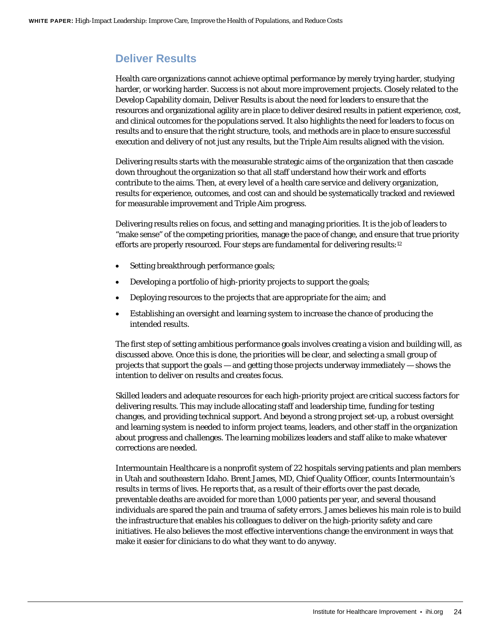#### **Deliver Results**

Health care organizations cannot achieve optimal performance by merely trying harder, studying harder, or working harder. Success is not about more improvement projects. Closely related to the Develop Capability domain, Deliver Results is about the need for leaders to ensure that the resources and organizational agility are in place to deliver desired results in patient experience, cost, and clinical outcomes for the populations served. It also highlights the need for leaders to focus on results and to ensure that the right structure, tools, and methods are in place to ensure successful execution and delivery of not just any results, but the Triple Aim results aligned with the vision.

Delivering results starts with the measurable strategic aims of the organization that then cascade down throughout the organization so that all staff understand how their work and efforts contribute to the aims. Then, at every level of a health care service and delivery organization, results for experience, outcomes, and cost can and should be systematically tracked and reviewed for measurable improvement and Triple Aim progress.

Delivering results relies on focus, and setting and managing priorities. It is the job of leaders to "make sense" of the competing priorities, manage the pace of change, and ensure that true priority efforts are properly resourced. Four steps are fundamental for delivering results:12

- Setting breakthrough performance goals;
- Developing a portfolio of high-priority projects to support the goals;
- Deploying resources to the projects that are appropriate for the aim; and
- Establishing an oversight and learning system to increase the chance of producing the intended results.

The first step of setting ambitious performance goals involves creating a vision and building will, as discussed above. Once this is done, the priorities will be clear, and selecting a small group of projects that support the goals — and getting those projects underway immediately — shows the intention to deliver on results and creates focus.

Skilled leaders and adequate resources for each high-priority project are critical success factors for delivering results. This may include allocating staff and leadership time, funding for testing changes, and providing technical support. And beyond a strong project set-up, a robust oversight and learning system is needed to inform project teams, leaders, and other staff in the organization about progress and challenges. The learning mobilizes leaders and staff alike to make whatever corrections are needed.

Intermountain Healthcare is a nonprofit system of 22 hospitals serving patients and plan members in Utah and southeastern Idaho. Brent James, MD, Chief Quality Officer, counts Intermountain's results in terms of lives. He reports that, as a result of their efforts over the past decade, preventable deaths are avoided for more than 1,000 patients per year, and several thousand individuals are spared the pain and trauma of safety errors. James believes his main role is to build the infrastructure that enables his colleagues to deliver on the high-priority safety and care initiatives. He also believes the most effective interventions change the environment in ways that make it easier for clinicians to do what they want to do anyway.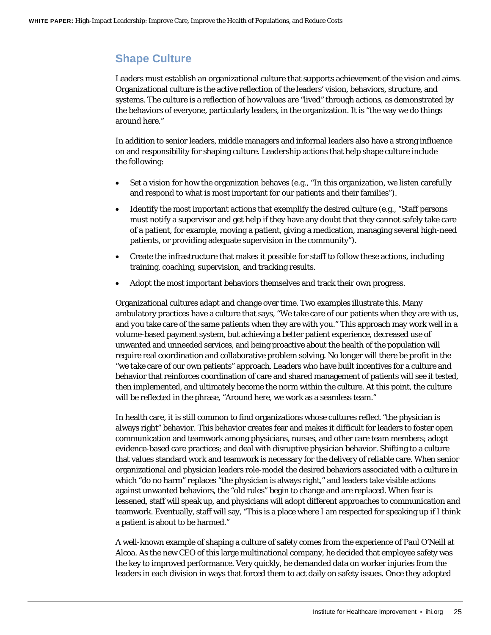## **Shape Culture**

Leaders must establish an organizational culture that supports achievement of the vision and aims. Organizational culture is the active reflection of the leaders' vision, behaviors, structure, and systems. The culture is a reflection of how values are "lived" through actions, as demonstrated by the behaviors of everyone, particularly leaders, in the organization. It is "the way we do things around here."

In addition to senior leaders, middle managers and informal leaders also have a strong influence on and responsibility for shaping culture. Leadership actions that help shape culture include the following:

- Set a vision for how the organization behaves (e.g., "In this organization, we listen carefully and respond to what is most important for our patients and their families").
- Identify the most important actions that exemplify the desired culture (e.g., "Staff persons") must notify a supervisor and get help if they have any doubt that they cannot safely take care of a patient, for example, moving a patient, giving a medication, managing several high-need patients, or providing adequate supervision in the community").
- Create the infrastructure that makes it possible for staff to follow these actions, including training, coaching, supervision, and tracking results.
- Adopt the most important behaviors themselves and track their own progress.

Organizational cultures adapt and change over time. Two examples illustrate this. Many ambulatory practices have a culture that says, "We take care of *our* patients when they are with *us*, and *you* take care of the same patients when they are with *you*." This approach may work well in a volume-based payment system, but achieving a better patient experience, decreased use of unwanted and unneeded services, and being proactive about the health of the population will require real coordination and collaborative problem solving. No longer will there be profit in the "we take care of our own patients" approach. Leaders who have built incentives for a culture and behavior that reinforces coordination of care and shared management of patients will see it tested, then implemented, and ultimately become the norm within the culture. At this point, the culture will be reflected in the phrase, "Around here, we work as a seamless team."

In health care, it is still common to find organizations whose cultures reflect "the physician is always right" behavior. This behavior creates fear and makes it difficult for leaders to foster open communication and teamwork among physicians, nurses, and other care team members; adopt evidence-based care practices; and deal with disruptive physician behavior. Shifting to a culture that values standard work and teamwork is necessary for the delivery of reliable care. When senior organizational and physician leaders role-model the desired behaviors associated with a culture in which "do no harm" replaces "the physician is always right," and leaders take visible actions against unwanted behaviors, the "old rules" begin to change and are replaced. When fear is lessened, staff will speak up, and physicians will adopt different approaches to communication and teamwork. Eventually, staff will say, "This is a place where I am respected for speaking up if I think a patient is about to be harmed."

A well-known example of shaping a culture of safety comes from the experience of Paul O'Neill at Alcoa. As the new CEO of this large multinational company, he decided that employee safety was the key to improved performance. Very quickly, he demanded data on worker injuries from the leaders in each division in ways that forced them to act daily on safety issues. Once they adopted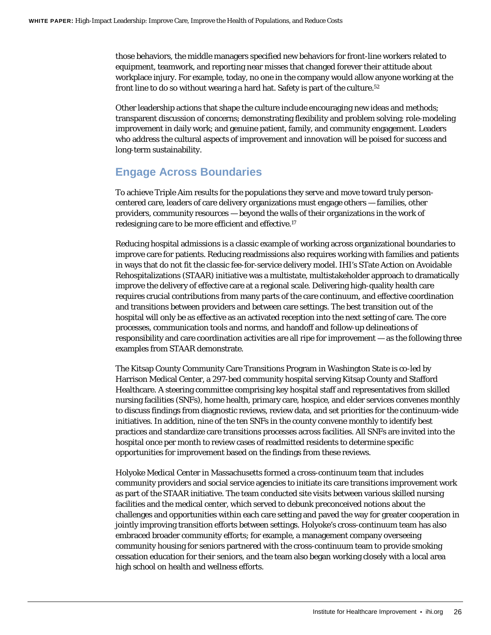those behaviors, the middle managers specified new behaviors for front-line workers related to equipment, teamwork, and reporting near misses that changed forever their attitude about workplace injury. For example, today, no one in the company would allow anyone working at the front line to do so without wearing a hard hat. Safety is part of the culture.<sup>52</sup>

Other leadership actions that shape the culture include encouraging new ideas and methods; transparent discussion of concerns; demonstrating flexibility and problem solving; role-modeling improvement in daily work; and genuine patient, family, and community engagement. Leaders who address the cultural aspects of improvement and innovation will be poised for success and long-term sustainability.

### **Engage Across Boundaries**

To achieve Triple Aim results for the populations they serve and move toward truly personcentered care, leaders of care delivery organizations must engage others — families, other providers, community resources — beyond the walls of their organizations in the work of redesigning care to be more efficient and effective[.17](#page-30-2)

Reducing hospital admissions is a classic example of working across organizational boundaries to improve care for patients. Reducing readmissions also requires working with families and patients in ways that do not fit the classic fee-for-service delivery model. IHI's STate Action on Avoidable Rehospitalizations (STAAR) initiative was a multistate, multistakeholder approach to dramatically improve the delivery of effective care at a regional scale. Delivering high-quality health care requires crucial contributions from many parts of the care continuum, and effective coordination and transitions between providers and between care settings. The best transition out of the hospital will only be as effective as an activated reception into the next setting of care. The core processes, communication tools and norms, and handoff and follow-up delineations of responsibility and care coordination activities are all ripe for improvement — as the following three examples from STAAR demonstrate.

The Kitsap County Community Care Transitions Program in Washington State is co-led by Harrison Medical Center, a 297-bed community hospital serving Kitsap County and Stafford Healthcare. A steering committee comprising key hospital staff and representatives from skilled nursing facilities (SNFs), home health, primary care, hospice, and elder services convenes monthly to discuss findings from diagnostic reviews, review data, and set priorities for the continuum-wide initiatives. In addition, nine of the ten SNFs in the county convene monthly to identify best practices and standardize care transitions processes across facilities. All SNFs are invited into the hospital once per month to review cases of readmitted residents to determine specific opportunities for improvement based on the findings from these reviews.

Holyoke Medical Center in Massachusetts formed a cross-continuum team that includes community providers and social service agencies to initiate its care transitions improvement work as part of the STAAR initiative. The team conducted site visits between various skilled nursing facilities and the medical center, which served to debunk preconceived notions about the challenges and opportunities within each care setting and paved the way for greater cooperation in jointly improving transition efforts between settings. Holyoke's cross-continuum team has also embraced broader community efforts; for example, a management company overseeing community housing for seniors partnered with the cross-continuum team to provide smoking cessation education for their seniors, and the team also began working closely with a local area high school on health and wellness efforts.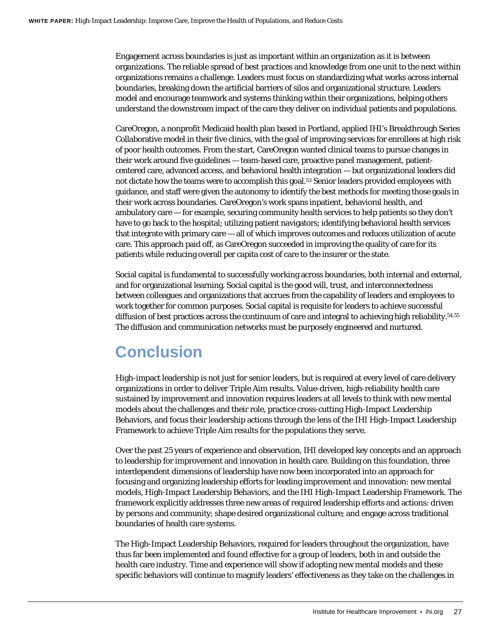Engagement across boundaries is just as important within an organization as it is between organizations. The reliable spread of best practices and knowledge from one unit to the next within organizations remains a challenge. Leaders must focus on standardizing what works across internal boundaries, breaking down the artificial barriers of silos and organizational structure. Leaders model and encourage teamwork and systems thinking within their organizations, helping others understand the downstream impact of the care they deliver on individual patients and populations.

CareOregon, a nonprofit Medicaid health plan based in Portland, applied IHI's Breakthrough Series Collaborative model in their five clinics, with the goal of improving services for enrollees at high risk of poor health outcomes. From the start, CareOregon wanted clinical teams to pursue changes in their work around five guidelines — team-based care, proactive panel management, patientcentered care, advanced access, and behavioral health integration — but organizational leaders did not dictate how the teams were to accomplish this goal.53 Senior leaders provided employees with guidance, and staff were given the autonomy to identify the best methods for meeting those goals in their work across boundaries. CareOregon's work spans inpatient, behavioral health, and ambulatory care — for example, securing community health services to help patients so they don't have to go back to the hospital; utilizing patient navigators; identifying behavioral health services that integrate with primary care — all of which improves outcomes and reduces utilization of acute care. This approach paid off, as CareOregon succeeded in improving the quality of care for its patients while reducing overall per capita cost of care to the insurer or the state.

Social capital is fundamental to successfully working across boundaries, both internal and external, and for organizational learning. Social capital is the good will, trust, and interconnectedness between colleagues and organizations that accrues from the capability of leaders and employees to work together for common purposes. Social capital is requisite for leaders to achieve successful diffusion of best practices across the continuum of care and integral to achieving high reliability.<sup>54,55</sup> The diffusion and communication networks must be purposely engineered and nurtured.

## <span id="page-26-0"></span>**Conclusion**

High-impact leadership is not just for senior leaders, but is required at every level of care delivery organizations in order to deliver Triple Aim results. Value-driven, high-reliability health care sustained by improvement and innovation requires leaders at all levels to think with new mental models about the challenges and their role, practice cross-cutting High-Impact Leadership Behaviors, and focus their leadership actions through the lens of the IHI High-Impact Leadership Framework to achieve Triple Aim results for the populations they serve.

Over the past 25 years of experience and observation, IHI developed key concepts and an approach to leadership for improvement and innovation in health care. Building on this foundation, three interdependent dimensions of leadership have now been incorporated into an approach for focusing and organizing leadership efforts for leading improvement and innovation: new mental models, High-Impact Leadership Behaviors, and the IHI High-Impact Leadership Framework. The framework explicitly addresses three new areas of required leadership efforts and actions: driven by persons and community; shape desired organizational culture; and engage across traditional boundaries of health care systems.

The High-Impact Leadership Behaviors, required for leaders throughout the organization, have thus far been implemented and found effective for a group of leaders, both in and outside the health care industry. Time and experience will show if adopting new mental models and these specific behaviors will continue to magnify leaders' effectiveness as they take on the challenges in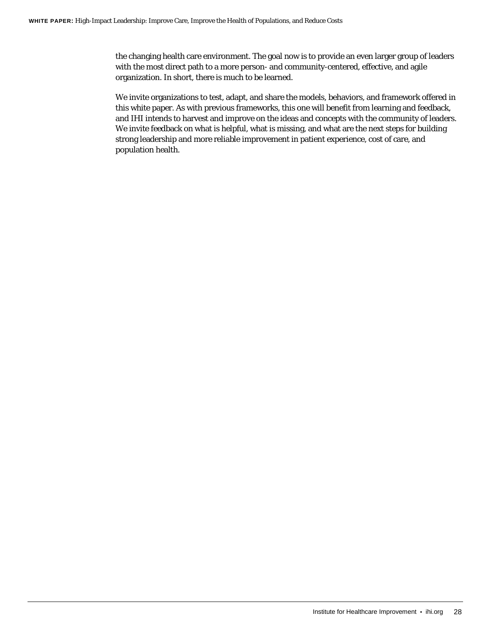the changing health care environment. The goal now is to provide an even larger group of leaders with the most direct path to a more person- and community-centered, effective, and agile organization. In short, there is much to be learned.

We invite organizations to test, adapt, and share the models, behaviors, and framework offered in this white paper. As with previous frameworks, this one will benefit from learning and feedback, and IHI intends to harvest and improve on the ideas and concepts with the community of leaders. We invite feedback on what is helpful, what is missing, and what are the next steps for building strong leadership and more reliable improvement in patient experience, cost of care, and population health.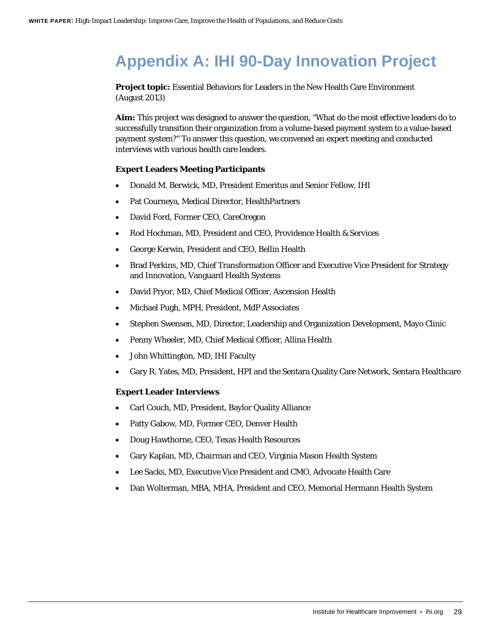## <span id="page-28-0"></span>**Appendix A: IHI 90-Day Innovation Project**

**Project topic:** Essential Behaviors for Leaders in the New Health Care Environment (August 2013)

**Aim:** This project was designed to answer the question, "What do the most effective leaders do to successfully transition their organization from a volume-based payment system to a value-based payment system?" To answer this question, we convened an expert meeting and conducted interviews with various health care leaders.

#### **Expert Leaders Meeting Participants**

- Donald M. Berwick, MD, President Emeritus and Senior Fellow, IHI
- Pat Courneya, Medical Director, HealthPartners
- David Ford, Former CEO, CareOregon
- Rod Hochman, MD, President and CEO, Providence Health & Services
- George Kerwin, President and CEO, Bellin Health
- Brad Perkins, MD, Chief Transformation Officer and Executive Vice President for Strategy and Innovation, Vanguard Health Systems
- David Pryor, MD, Chief Medical Officer, Ascension Health
- Michael Pugh, MPH, President, MdP Associates
- Stephen Swensen, MD, Director, Leadership and Organization Development, Mayo Clinic
- Penny Wheeler, MD, Chief Medical Officer, Allina Health
- John Whittington, MD, IHI Faculty
- Gary R. Yates, MD, President, HPI and the Sentara Quality Care Network, Sentara Healthcare

#### **Expert Leader Interviews**

- Carl Couch, MD, President, Baylor Quality Alliance
- Patty Gabow, MD, Former CEO, Denver Health
- Doug Hawthorne, CEO, Texas Health Resources
- Gary Kaplan, MD, Chairman and CEO, Virginia Mason Health System
- Lee Sacks, MD, Executive Vice President and CMO, Advocate Health Care
- Dan Wolterman, MBA, MHA, President and CEO, Memorial Hermann Health System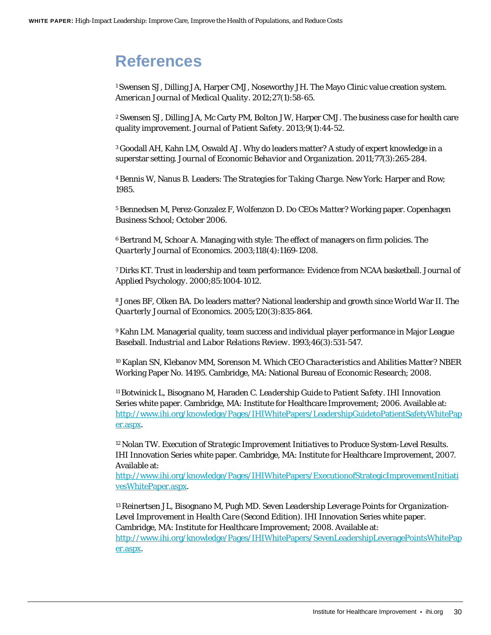## <span id="page-29-0"></span>**References**

<span id="page-29-1"></span>1 Swensen SJ, Dilling JA, Harper CMJ, Noseworthy JH. The Mayo Clinic value creation system. *American Journal of Medical Quality*. 2012;27(1):58-65.

2 Swensen SJ, Dilling JA, Mc Carty PM, Bolton JW, Harper CMJ. The business case for health care quality improvement. *Journal of Patient Safety*. 2013;9(1):44-52.

3 Goodall AH, Kahn LM, Oswald AJ. Why do leaders matter? A study of expert knowledge in a superstar setting. *Journal of Economic Behavior and Organization*. 2011;77(3):265-284.

4 Bennis W, Nanus B. Leaders: *The Strategies for Taking Charge*. New York: Harper and Row; 1985.

5 Bennedsen M, Perez-Gonzalez F, Wolfenzon D. *Do CEOs Matter?* Working paper. Copenhagen Business School; October 2006.

6 Bertrand M, Schoar A. Managing with style: The effect of managers on firm policies. *The Quarterly Journal of Economics*. 2003;118(4):1169-1208.

7 Dirks KT. Trust in leadership and team performance: Evidence from NCAA basketball. *Journal of Applied Psychology*. 2000;85:1004-1012.

8 Jones BF, Olken BA. Do leaders matter? National leadership and growth since World War II. *The Quarterly Journal of Economics*. 2005;120(3):835-864.

9 Kahn LM. Managerial quality, team success and individual player performance in Major League Baseball. *Industrial and Labor Relations Review*. 1993;46(3):531-547.

10 Kaplan SN, Klebanov MM, Sorenson M. *Which CEO Characteristics and Abilities Matter?* NBER Working Paper No. 14195. Cambridge, MA: National Bureau of Economic Research; 2008.

<span id="page-29-2"></span>11 Botwinick L, Bisognano M, Haraden C. *Leadership Guide to Patient Safety*. IHI Innovation Series white paper. Cambridge, MA: Institute for Healthcare Improvement; 2006. Available at: [http://www.ihi.org/knowledge/Pages/IHIWhitePapers/LeadershipGuidetoPatientSafetyWhitePap](http://www.ihi.org/knowledge/Pages/IHIWhitePapers/LeadershipGuidetoPatientSafetyWhitePaper.aspx) [er.aspx.](http://www.ihi.org/knowledge/Pages/IHIWhitePapers/LeadershipGuidetoPatientSafetyWhitePaper.aspx)

<span id="page-29-3"></span>12 Nolan TW. *Execution of Strategic Improvement Initiatives to Produce System-Level Results*. IHI Innovation Series white paper. Cambridge, MA: Institute for Healthcare Improvement, 2007. Available at:

[http://www.ihi.org/knowledge/Pages/IHIWhitePapers/ExecutionofStrategicImprovementInitiati](http://www.ihi.org/knowledge/Pages/IHIWhitePapers/ExecutionofStrategicImprovementInitiativesWhitePaper.aspx) [vesWhitePaper.aspx.](http://www.ihi.org/knowledge/Pages/IHIWhitePapers/ExecutionofStrategicImprovementInitiativesWhitePaper.aspx)

13 Reinertsen JL, Bisognano M, Pugh MD. *Seven Leadership Leverage Points for Organization-Level Improvement in Health Care (Second Edition)*. IHI Innovation Series white paper. Cambridge, MA: Institute for Healthcare Improvement; 2008. Available at: [http://www.ihi.org/knowledge/Pages/IHIWhitePapers/SevenLeadershipLeveragePointsWhitePap](http://www.ihi.org/knowledge/Pages/IHIWhitePapers/SevenLeadershipLeveragePointsWhitePaper.aspx) [er.aspx.](http://www.ihi.org/knowledge/Pages/IHIWhitePapers/SevenLeadershipLeveragePointsWhitePaper.aspx)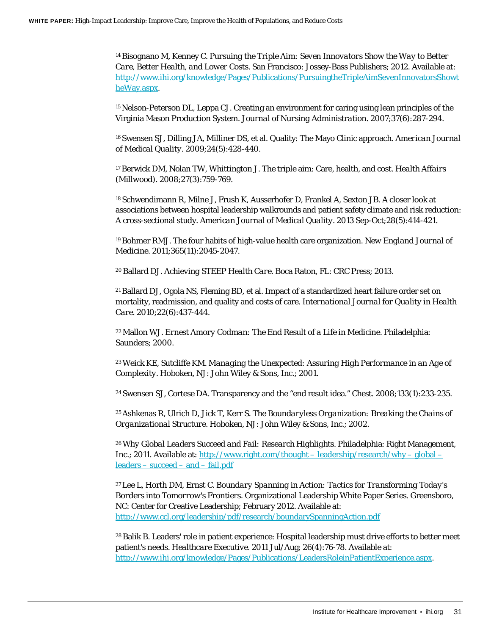14 Bisognano M, Kenney C. *Pursuing the Triple Aim: Seven Innovators Show the Way to Better Care, Better Health, and Lower Costs*. San Francisco: Jossey-Bass Publishers; 2012. Available at: [http://www.ihi.org/knowledge/Pages/Publications/PursuingtheTripleAimSevenInnovatorsShowt](http://www.ihi.org/knowledge/Pages/Publications/PursuingtheTripleAimSevenInnovatorsShowtheWay.aspx) [heWay.aspx.](http://www.ihi.org/knowledge/Pages/Publications/PursuingtheTripleAimSevenInnovatorsShowtheWay.aspx)

<span id="page-30-0"></span>15 Nelson-Peterson DL, Leppa CJ. Creating an environment for caring using lean principles of the Virginia Mason Production System. *Journal of Nursing Administration*. 2007;37(6):287-294.

<span id="page-30-1"></span>16 Swensen SJ, Dilling JA, Milliner DS, et al. Quality: The Mayo Clinic approach. *American Journal of Medical Quality*. 2009;24(5):428-440.

<span id="page-30-2"></span>17 Berwick DM, Nolan TW, Whittington J. The triple aim: Care, health, and cost. *Health Affairs (Millwood)*. 2008;27(3):759-769.

<span id="page-30-3"></span>18 Schwendimann R, Milne J, Frush K, Ausserhofer D, Frankel A, Sexton JB. A closer look at associations between hospital leadership walkrounds and patient safety climate and risk reduction: A cross-sectional study. *American Journal of Medical Quality*. 2013 Sep-Oct;28(5):414-421.

<span id="page-30-9"></span>19 Bohmer RMJ. The four habits of high-value health care organization. *New England Journal of Medicine*. 2011;365(11):2045-2047.

<span id="page-30-4"></span>20 Ballard DJ. *Achieving STEEP Health Care*. Boca Raton, FL: CRC Press; 2013.

<span id="page-30-5"></span>21 Ballard DJ, Ogola NS, Fleming BD, et al. Impact of a standardized heart failure order set on mortality, readmission, and quality and costs of care. *International Journal for Quality in Health Care*. 2010;22(6):437-444.

<span id="page-30-6"></span>22 Mallon WJ. *Ernest Amory Codman: The End Result of a Life in Medicine*. Philadelphia: Saunders; 2000.

<span id="page-30-7"></span>23 Weick KE, Sutcliffe KM. *Managing the Unexpected: Assuring High Performance in an Age of Complexity*. Hoboken, NJ: John Wiley & Sons, Inc.; 2001.

<span id="page-30-8"></span>24 Swensen SJ, Cortese DA. Transparency and the "end result idea." *Chest*. 2008;133(1):233-235.

<span id="page-30-10"></span>25 Ashkenas R, Ulrich D, Jick T, Kerr S. *The Boundaryless Organization: Breaking the Chains of Organizational Structure*. Hoboken, NJ: John Wiley & Sons, Inc.; 2002.

<span id="page-30-11"></span><sup>26</sup>*Why Global Leaders Succeed and Fail: Research Highlights*. Philadelphia: Right Management, Inc.; 2011. Available at: [http://www.right.com/thought –](http://www.right.com/thought-leadership/research/why-global-leaders-succeed-and-fail.pdf) leadership/research/why – global – leaders – [succeed –](http://www.right.com/thought-leadership/research/why-global-leaders-succeed-and-fail.pdf) and – fail.pdf

27 Lee L, Horth DM, Ernst C. *Boundary Spanning in Action: Tactics for Transforming Today's Borders into Tomorrow's Frontiers*. Organizational Leadership White Paper Series. Greensboro, NC: Center for Creative Leadership; February 2012. Available at: <http://www.ccl.org/leadership/pdf/research/boundarySpanningAction.pdf>

28 Balik B. Leaders' role in patient experience: Hospital leadership must drive efforts to better meet patient's needs. *Healthcare Executive*. 2011 Jul/Aug; 26(4):76-78. Available at: [http://www.ihi.org/knowledge/Pages/Publications/LeadersRoleinPatientExperience.aspx.](http://www.ihi.org/knowledge/Pages/Publications/LeadersRoleinPatientExperience.aspx)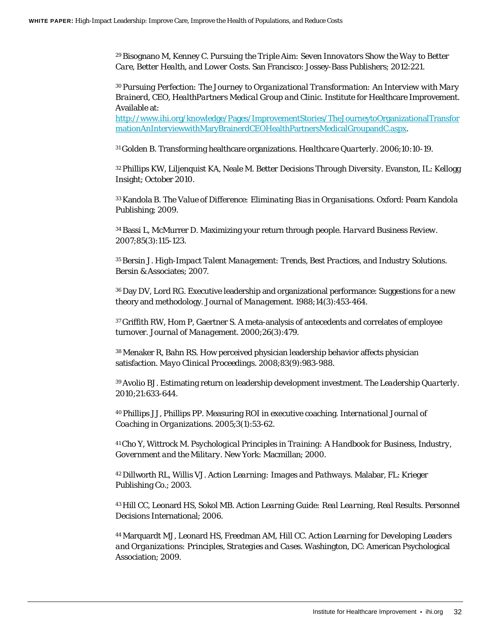29 Bisognano M, Kenney C. *Pursuing the Triple Aim: Seven Innovators Show the Way to Better Care, Better Health, and Lower Costs*. San Francisco: Jossey-Bass Publishers; 2012:221.

<span id="page-31-0"></span><sup>30</sup>*Pursuing Perfection: The Journey to Organizational Transformation: An Interview with Mary Brainerd, CEO, HealthPartners Medical Group and Clinic*. Institute for Healthcare Improvement. Available at:

[http://www.ihi.org/knowledge/Pages/ImprovementStories/TheJourneytoOrganizationalTransfor](http://www.ihi.org/knowledge/Pages/ImprovementStories/TheJourneytoOrganizationalTransformationAnInterviewwithMaryBrainerdCEOHealthPartnersMedicalGroupandC.aspx) [mationAnInterviewwithMaryBrainerdCEOHealthPartnersMedicalGroupandC.aspx.](http://www.ihi.org/knowledge/Pages/ImprovementStories/TheJourneytoOrganizationalTransformationAnInterviewwithMaryBrainerdCEOHealthPartnersMedicalGroupandC.aspx)

<span id="page-31-1"></span>31 Golden B. Transforming healthcare organizations. *Healthcare Quarterly*. 2006;10:10-19.

<span id="page-31-2"></span>32 Phillips KW, Liljenquist KA, Neale M. *Better Decisions Through Diversity*. Evanston, IL: Kellogg Insight; October 2010.

<span id="page-31-3"></span>33 Kandola B. *The Value of Difference: Eliminating Bias in Organisations*. Oxford: Pearn Kandola Publishing; 2009.

<span id="page-31-4"></span>34 Bassi L, McMurrer D. Maximizing your return through people. *Harvard Business Review*. 2007;85(3):115-123.

35 Bersin J. *High-Impact Talent Management: Trends, Best Practices, and Industry Solutions*. Bersin & Associates; 2007.

36 Day DV, Lord RG. Executive leadership and organizational performance: Suggestions for a new theory and methodology. *Journal of Management*. 1988;14(3):453-464.

37 Griffith RW, Hom P, Gaertner S. A meta-analysis of antecedents and correlates of employee turnover. *Journal of Management*. 2000;26(3):479.

38 Menaker R, Bahn RS. How perceived physician leadership behavior affects physician satisfaction. *Mayo Clinical Proceedings*. 2008;83(9):983-988.

<span id="page-31-5"></span>39 Avolio BJ. Estimating return on leadership development investment. *The Leadership Quarterly*. 2010;21:633-644.

40 Phillips JJ, Phillips PP. Measuring ROI in executive coaching. *International Journal of Coaching in Organizations*. 2005;3(1):53-62.

41 Cho Y, Wittrock M. *Psychological Principles in Training: A Handbook for Business, Industry, Government and the Military*. New York: Macmillan; 2000.

42 Dillworth RL, Willis VJ. *Action Learning: Images and Pathways*. Malabar, FL: Krieger Publishing Co.; 2003.

43 Hill CC, Leonard HS, Sokol MB. *Action Learning Guide: Real Learning, Real Results*. Personnel Decisions International; 2006.

44 Marquardt MJ, Leonard HS, Freedman AM, Hill CC. *Action Learning for Developing Leaders and Organizations: Principles, Strategies and Cases*. Washington, DC: American Psychological Association; 2009.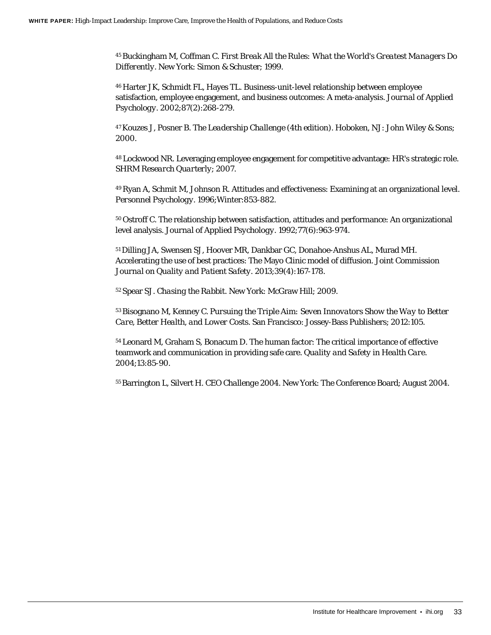45 Buckingham M, Coffman C. *First Break All the Rules: What the World's Greatest Managers Do Differently*. New York: Simon & Schuster; 1999.

46 Harter JK, Schmidt FL, Hayes TL. Business-unit-level relationship between employee satisfaction, employee engagement, and business outcomes: A meta-analysis. *Journal of Applied Psychology*. 2002;87(2):268-279.

47 Kouzes J, Posner B. *The Leadership Challenge (4th edition)*. Hoboken, NJ: John Wiley & Sons; 2000.

48 Lockwood NR. Leveraging employee engagement for competitive advantage: HR's strategic role. *SHRM Research Quarterly*; 2007.

49 Ryan A, Schmit M, Johnson R. Attitudes and effectiveness: Examining at an organizational level. *Personnel Psychology*. 1996;Winter:853-882.

50 Ostroff C. The relationship between satisfaction, attitudes and performance: An organizational level analysis. *Journal of Applied Psychology*. 1992;77(6):963-974.

51 Dilling JA, Swensen SJ, Hoover MR, Dankbar GC, Donahoe-Anshus AL, Murad MH. Accelerating the use of best practices: The Mayo Clinic model of diffusion. *Joint Commission Journal on Quality and Patient Safety*. 2013;39(4):167-178.

52 Spear SJ. *Chasing the Rabbit*. New York: McGraw Hill; 2009.

53 Bisognano M, Kenney C. *Pursuing the Triple Aim: Seven Innovators Show the Way to Better Care, Better Health, and Lower Costs*. San Francisco: Jossey-Bass Publishers; 2012:105.

54 Leonard M, Graham S, Bonacum D. The human factor: The critical importance of effective teamwork and communication in providing safe care. *Quality and Safety in Health Care*. 2004;13:85-90.

55 Barrington L, Silvert H. *CEO Challenge 2004*. New York: The Conference Board; August 2004.